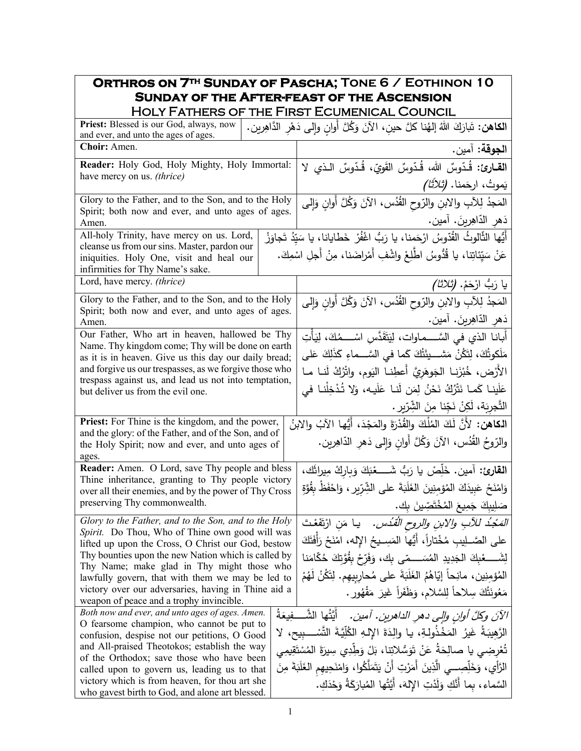## **Orthros on 7th Sunday of Pascha; Tone 6 / Eothinon 10 Sunday of the After-feast of the Ascension**  Holy Fathers of the First Ecumenical Council

| TIVLI I AIIILINJUI                                                                                                           | <b>THE FIRST ECOMENICAL COONCIL</b>                                                           |
|------------------------------------------------------------------------------------------------------------------------------|-----------------------------------------------------------------------------------------------|
| Priest: Blessed is our God, always, now<br>and ever, and unto the ages of ages.                                              | ا <b>لكاهن:</b> تَبارَكَ اللهُ إلهُنا كلَّ حينِ، الآنَ وَكُلَّ أوانِ وإلى دَهْرِ الدَّاهِرين. |
| Choir: Amen.                                                                                                                 | ا <b>لجوقة:</b> آمين.                                                                         |
| Reader: Holy God, Holy Mighty, Holy Immortal:                                                                                | القارئ: قُدّوسٌ الله، قُدّوسٌ القَوِيّ، قُدّوسٌ الذي لا                                       |
| have mercy on us. (thrice)                                                                                                   | يَموتُ، ارحَمنا. <i>(ثلاثًا)</i>                                                              |
| Glory to the Father, and to the Son, and to the Holy                                                                         | المَجدُ لِلآبِ والابنِ والرّوحِ القُدُسِ، الآنَ وَكُلَّ أُوانِ وَإِلى                         |
| Spirit; both now and ever, and unto ages of ages.<br>Amen.                                                                   | دَهرِ الدّاهِرينَ. آمين.                                                                      |
| All-holy Trinity, have mercy on us. Lord,                                                                                    | أَيُّها الثَّالوثُ القُدّوسُ ارْحَمنا، يا رَبُّ اغْفُرْ  خَطايانا، يا سَيِّدُ تَجاوَزْ        |
| cleanse us from our sins. Master, pardon our<br>iniquities. Holy One, visit and heal our<br>infirmities for Thy Name's sake. | عَنْ سَيِّئاتِنا، يا قُدُّوسُ اطَّلِعْ واشْفِ أَمْراضَنا، مِنْ أجلِ اسْمِكَ.                  |
| Lord, have mercy. (thrice)                                                                                                   | ِيا رَبُّ ارْحَمْ. <i>(ثلاثا)</i>                                                             |
| Glory to the Father, and to the Son, and to the Holy                                                                         | المَجْدُ لِلأَبِ والابنِ والزّوحِ القُدُسِ، الآنَ وَكُلَّ أَوانِ وَإِلَى                      |
| Spirit; both now and ever, and unto ages of ages.<br>Amen.                                                                   | دَهرِ الدّاهِرينَ. آمين.                                                                      |
| Our Father, Who art in heaven, hallowed be Thy                                                                               | أَبانـا الذي في السَّــــمـاوات، لِيَتَقَدَّس اسْــــمُكَ، لِيَأْتِ                           |
| Name. Thy kingdom come; Thy will be done on earth<br>as it is in heaven. Give us this day our daily bread;                   | مَلَكوتُكَ، لِتَكُنْ مَشـــينَتُكَ كَما فى السَّـــماءِ كَذَلِكَ عَلى                         |
| and forgive us our trespasses, as we forgive those who                                                                       | الأَرْض، خُبْزَنـا الْجَوهَرِيَّ أَعطِنـا اليَوم، واتْرُكْ لَنـا مـا                          |
| trespass against us, and lead us not into temptation,<br>but deliver us from the evil one.                                   | عَلَينا كَما نَتْرُكُ نَحْنُ لِمَن لَنا عَلَيه، وَلا تُدْخِلْنا في                            |
|                                                                                                                              | التَّجريَة، لَكِنْ نَجِّنا مِنَ الشِّرّيرِ .                                                  |
| <b>Priest:</b> For Thine is the kingdom, and the power,                                                                      | ا <b>لـكـاهن:</b> لأَنَّ لَكَ المُلْكَ والقُدْرَةَ والمَجْدَ، أَيُّها الآبُ والابنُ           |
| and the glory: of the Father, and of the Son, and of<br>the Holy Spirit; now and ever, and unto ages of<br>ages.             | والرّوحُ القُدُس، الآنَ وَكُلَّ أُوانِ وَإِلَى دَهْرِ الدّاهِرين.                             |
| Reader: Amen. O Lord, save Thy people and bless                                                                              | ا <b>لقارئ:</b> آمين. خَلِّصْ يا رَبُّ شَــــعْبَكَ وَبِارِكْ مِيراثَك،                       |
| Thine inheritance, granting to Thy people victory<br>over all their enemies, and by the power of Thy Cross                   | وَامْنَحْ عَبِيدَكَ الْمُؤْمِنِينَ الْغَلَبَةَ على الشِّرِّيرِ ، وَاحْفَظْ بِقُوَّةِ          |
| preserving Thy commonwealth.                                                                                                 | صَلِيبِكَ جَمِيعَ الْمُخْتَصِّينَ بِك.                                                        |
| Glory to the Father, and to the Son, and to the Holy                                                                         | <i>المَجْدُ للأبِ والابنِ والروحِ القُدُس.</i> يا مَنِ ارْتَفَعْتَ                            |
| Spirit. Do Thou, Who of Thine own good will was<br>lifted up upon the Cross, O Christ our God, bestow                        | على الصَّــلِيبِ مُخْتاراً، أَيُّها المَسِــيحُ الإِله، امْنَحْ رَأَفَتَكَ                    |
| Thy bounties upon the new Nation which is called by                                                                          |                                                                                               |
| Thy Name; make glad in Thy might those who<br>lawfully govern, that with them we may be led to                               | المُؤمِنِينِ، مانِحاً إِيّاهُمُ الغَلَبَةَ على مُحارِبِيهِم. لِتَكُنْ لَهُمْ                  |
| victory over our adversaries, having in Thine aid a                                                                          | مَعُونَتُكَ سِلاحاً لِلسَّلامِ، وَظَفَراً غَيرَ مَقْهُورٍ .                                   |
| weapon of peace and a trophy invincible.<br>Both now and ever, and unto ages of ages. Amen.                                  |                                                                                               |
| O fearsome champion, who cannot be put to                                                                                    | الآنَ وكلَّ أوانٍ وإلى دهرِ الداهرينِ. آمينِ.   أيَّتُها الشَّـــفِيعَةُ                      |
| confusion, despise not our petitions, O Good                                                                                 | الرَّهِيبَةُ غَيرُ المَخْذُولةِ، يا والِدَةَ الإِلـهِ الكُلِّيَّةَ التَّسْـــبِيح، لا         |
| and All-praised Theotokos; establish the way<br>of the Orthodox; save those who have been                                    | تُعْرِضِي يا صالِحَةُ عَنْ تَوَسُّلاتِنا، بَلْ وَطِّدِي سِيرَةَ المُسْتَقِيمِي                |
| called upon to govern us, leading us to that                                                                                 | الرَّأْيِ، وَخَلِّصِـــي الَّذِينَ أَمَرْتِ أَنْ يَتَمَلَّكُوا، وَامْنَحِيهِم الغَلَبَةَ مِنَ |
| victory which is from heaven, for thou art she<br>who gavest birth to God, and alone art blessed.                            | السَّماءِ، بما أَنَّكِ وَلَدْتِ الإِلهَ، أَيَّتُها المُبارَكَةُ وَحْدَكِ.                     |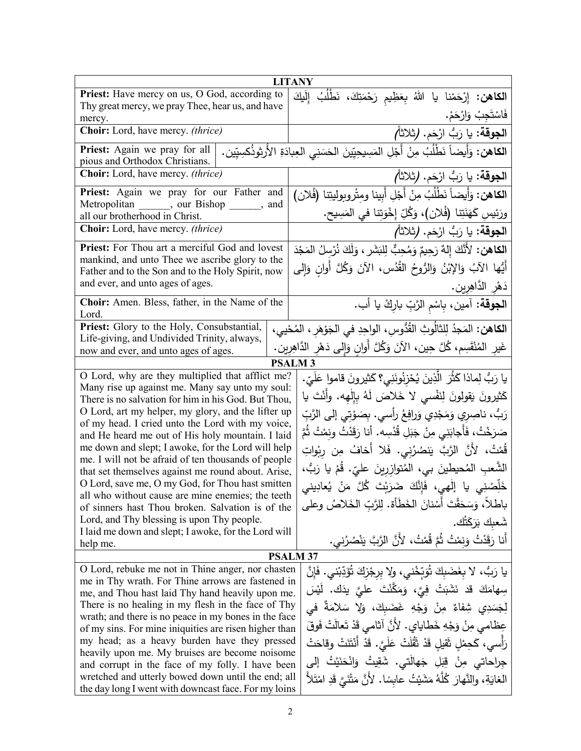|                                                                                                           | <b>LITANY</b>                                                                                         |
|-----------------------------------------------------------------------------------------------------------|-------------------------------------------------------------------------------------------------------|
| Priest: Have mercy on us, O God, according to                                                             | ا <b>لكاهن:</b> إِرْحَمْنا يا اللهُ بِعَظِيمِ رَحْمَتِكَ، نَطْلُبُ إِلَيكَ                            |
| Thy great mercy, we pray Thee, hear us, and have                                                          |                                                                                                       |
| mercy.                                                                                                    | فَاسْتَجِبْ وَارْحَمْ.                                                                                |
| Choir: Lord, have mercy. (thrice)                                                                         | ا <b>لجوقة:</b> يا رَبُّ ارْحَم. <b>(</b> ثلاثاً <i>)</i>                                             |
| Priest: Again we pray for all                                                                             | ا <b>لكاهن:</b> وَأَيضاً نَطْلُبُ مِنْ أَجْلِ المَسِيحِيِّينَ الحَسَنِي العِبادَةِ الأُرثوذُكسِيِّين. |
| pious and Orthodox Christians.                                                                            |                                                                                                       |
| <b>Choir:</b> Lord, have mercy. <i>(thrice)</i>                                                           | ا <b>لجوقة</b> : يا رَبُّ ارْحَم. (ثلاثاً)                                                            |
| Priest: Again we pray for our Father and                                                                  | ا <b>لكاهن:</b> وَأَيضاً نَطْلُبُ مِنْ أَجْلِ أَبينا ومتْروبوليتِنا (فُلان)                           |
| Metropolitan ______, our Bishop _<br>$\_\_$ and                                                           |                                                                                                       |
| all our brotherhood in Christ.                                                                            | ورَئِيسِ كَهَنَتِنا (فُلان)، وَكُلِّ إِخْوَتِنا في المَسِيحِ.                                         |
| Choir: Lord, have mercy. (thrice)                                                                         | الجوقة: يا رَبُّ ارْحَم. (ثلاثاً)                                                                     |
| Priest: For Thou art a merciful God and lovest                                                            | ا <b>لكاهن:</b> لأَنَّكَ إِلهٌ رَحِيمٌ وَمُحِبٌّ لِلبَشَرِ ، وَلَكَ نُرْسِلُ المَجْدَ                 |
| mankind, and unto Thee we ascribe glory to the                                                            |                                                                                                       |
| Father and to the Son and to the Holy Spirit, now                                                         | أَيُّها الآبُ وَالإِبْنُ وَالرُّوحُ القُدُس، الآنَ وَكُلَّ أُوانِ وَإِلى                              |
| and ever, and unto ages of ages.                                                                          | دَهْرِ الدَّاهِرِينِ.                                                                                 |
| Choir: Amen. Bless, father, in the Name of the                                                            |                                                                                                       |
| Lord.                                                                                                     | ا <b>لجوقة:</b> آمين، بِاسْمِ الرَّبِّ بارِكْ يا أب.                                                  |
| Priest: Glory to the Holy, Consubstantial,                                                                | ا <b>لكاهن:</b> المَجذُ لِلثالُوثِ القُدُّوسِ، الواحِدِ في الجَوْهَرِ ، المُحْيي،                     |
| Life-giving, and Undivided Trinity, always,                                                               |                                                                                                       |
| now and ever, and unto ages of ages.                                                                      | غَيرِ المُنْقَسِم، كُلَّ حِين، الآنَ وَكُلَّ أُوانِ وَإِلى دَهْرِ الدَّاهِرِينِ.                      |
|                                                                                                           | <b>PSALM3</b>                                                                                         |
| O Lord, why are they multiplied that afflict me?                                                          | يا رَبُّ لِماذا كَثّْرَ الَّذِينَ يُحْزِنُونَنِي؟ كَثيرونَ قاموا عَلَيّ.                              |
| Many rise up against me. Many say unto my soul:                                                           |                                                                                                       |
| There is no salvation for him in his God. But Thou,                                                       | كَثيرونَ يَقولونَ لِنَفْسى لا خَلاصَ لَهُ بِإِلْهِه. وأَنْتَ يا                                       |
| O Lord, art my helper, my glory, and the lifter up                                                        | رَبُّ، ناصِرِي وَمَجْدِي وَرافِعُ رأسي. بِصَوْتِي إلى الرَّبِّ                                        |
| of my head. I cried unto the Lord with my voice,                                                          | صَرَخْتُ، فَأَجابَنِي مِنْ جَبَلِ قُدْسِه. أنا رَقَدْتُ ونِمْتُ ثُمَّ                                 |
| and He heard me out of His holy mountain. I laid                                                          |                                                                                                       |
| me down and slept; I awoke, for the Lord will help<br>me. I will not be afraid of ten thousands of people | قُمْتُ، لأَنَّ الرَّبَّ يَنصُرُني. فَلا أَخافُ مِن رِبْواتِ                                           |
| that set themselves against me round about. Arise,                                                        | الشَّعبِ المُحيطينَ بي، المُتوازرينَ عليّ. قُمْ يا رَبُّ،                                             |
| O Lord, save me, O my God, for Thou hast smitten                                                          | خَلِّصْنِي يا إلْهِي، فَإِنَّكَ ضَرَبْتَ كُلَّ مَنْ يُعادِيني                                         |
| all who without cause are mine enemies; the teeth                                                         | باطلاً، وَسَحَقْتَ أَسْنانَ الخَطَأة. لِلرَّبِّ الخَلاصُ وعلى                                         |
| of sinners hast Thou broken. Salvation is of the                                                          |                                                                                                       |
| Lord, and Thy blessing is upon Thy people.                                                                | شَعبك بَرَكَتُك.                                                                                      |
| I laid me down and slept; I awoke, for the Lord will                                                      | أَنا رَقَدْتُ وَنِمْتُ ثُمَّ قُمْتُ، لأَنَّ الرَّبَّ يَنْصُرُني.                                      |
| help me.                                                                                                  | <b>PSALM 37</b>                                                                                       |
| O Lord, rebuke me not in Thine anger, nor chasten                                                         |                                                                                                       |
| me in Thy wrath. For Thine arrows are fastened in                                                         | يا رَبٌّ، لا بِغَضَبِكَ تُوَبِّخْني، ولا بِرِجْزِكَ تُؤَدِّبْني. فَإِنَّ                              |
| me, and Thou hast laid Thy hand heavily upon me.                                                          | سِهامَكَ قد نَشَبَتْ فِيَّ، وَمَكَّنْتَ عليَّ يذَك. لَيْسَ                                            |
| There is no healing in my flesh in the face of Thy                                                        | لِجَسَدِي شِفاءٌ مِنْ وَجْهِ غَضَبِكَ، وَلا سَلامَةٌ في                                               |
| wrath; and there is no peace in my bones in the face                                                      |                                                                                                       |
| of my sins. For mine iniquities are risen higher than                                                     | عِظامي مِنْ وَجْهِ خَطايايِ. لأَنَّ آثامي قَدْ تَعالَتْ فَوقَ                                         |
| my head; as a heavy burden have they pressed                                                              | رَأْسي، كَحِمْلِ ثَقيلٍ قَدْ ثَقُلَتْ عَلَيَّ. قَدْ أَنْتَنَتْ وقاحَتْ                                |
| heavily upon me. My bruises are become noisome                                                            | جِراحاتي مِنْ قِبَلِ جَهالَتي. شَقِيتُ وَانْحَنَيْتُ إلى                                              |
| and corrupt in the face of my folly. I have been<br>wretched and utterly bowed down until the end; all    |                                                                                                       |
| the day long I went with downcast face. For my loins                                                      | الغايَةِ، والنَّهارَ كُلَّهُ مَشَيْتُ عابسًا. لأَنَّ مَتْنَىَّ قَدِ امْتَلأَ                          |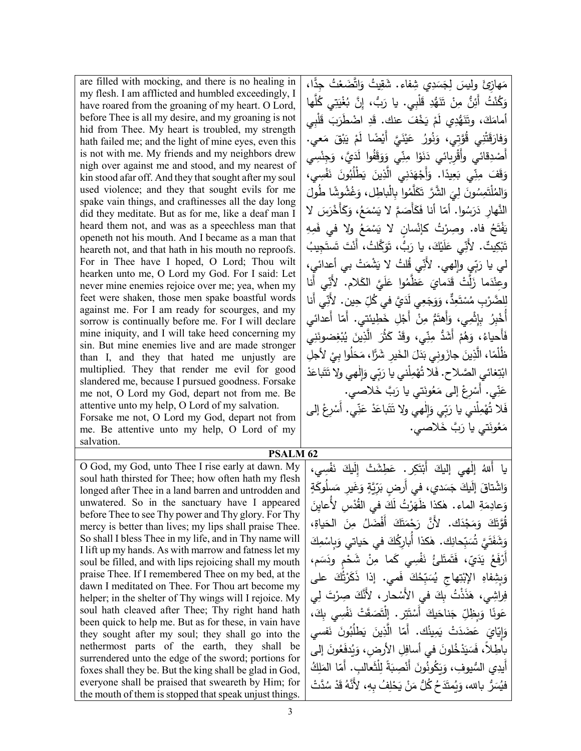are filled with mocking, and there is no healing in my flesh. I am afflicted and humbled exceedingly, I have roared from the groaning of my heart. O Lord, before Thee is all my desire, and my groaning is not hid from Thee. My heart is troubled, my strength hath failed me; and the light of mine eyes, even this is not with me. My friends and my neighbors drew nigh over against me and stood, and my nearest of kin stood afar off. And they that sought after my soul used violence; and they that sought evils for me spake vain things, and craftinesses all the day long did they meditate. But as for me, like a deaf man I heard them not, and was as a speechless man that openeth not his mouth. And I became as a man that heareth not, and that hath in his mouth no reproofs. For in Thee have I hoped, O Lord; Thou wilt hearken unto me, O Lord my God. For I said: Let never mine enemies rejoice over me; yea, when my feet were shaken, those men spake boastful words against me. For I am ready for scourges, and my sorrow is continually before me. For I will declare mine iniquity, and I will take heed concerning my sin. But mine enemies live and are made stronger than I, and they that hated me unjustly are multiplied. They that render me evil for good slandered me, because I pursued goodness. Forsake me not, O Lord my God, depart not from me. Be attentive unto my help, O Lord of my salvation. Forsake me not, O Lord my God, depart not from

me. Be attentive unto my help, O Lord of my salvation.

O God, my God, unto Thee I rise early at dawn. My soul hath thirsted for Thee; how often hath my flesh longed after Thee in a land barren and untrodden and unwatered. So in the sanctuary have I appeared before Thee to see Thy power and Thy glory. For Thy mercy is better than lives; my lips shall praise Thee. So shall I bless Thee in my life, and in Thy name will I lift up my hands. As with marrow and fatness let my soul be filled, and with lips rejoicing shall my mouth praise Thee. If I remembered Thee on my bed, at the dawn I meditated on Thee. For Thou art become my helper; in the shelter of Thy wings will I rejoice. My soul hath cleaved after Thee; Thy right hand hath been quick to help me. But as for these, in vain have they sought after my soul; they shall go into the nethermost parts of the earth, they shall be surrendered unto the edge of the sword; portions for foxes shall they be. But the king shall be glad in God, everyone shall be praised that sweareth by Him; for the mouth of them is stopped that speak unjust things.

مَهازِئَ وليسَ لِجَسَدِي شِفاء. شَقِيتُ وَاتَّضَعْتُ جِدًّا،<br>فيهند أوليس الصين من وَكُنْتُ أَئِنٌّ مِنْ تَتَهُّدِ قَلْبِي. يا رَبُّ، إِنَّ بُغْيَتِي كُلَّها<br>ُ أمامَكَ، وتَنَهُّدِي لَمْ يَخْفَ عنك. قَدِ اضْطَرَبَ قَلْبِي<br>أمامَكَ، وتَنَهُّدِي لَمْ يَخْفَ عنك. وَفارَقَتْنِي قُوَّتِي، وَنُورُ عَيْنَيَّ أَيْضًا لَمْ يَبْقَ مَعي.<br>يَجْمَعُونِي فَقَالِ الْمَامِنِينَ مَنْ الْمَامِنِينَ مَعْي **ٔ** .<br>. أَصْدِقائي وأَقْرِبائي دَنَوْا مِنِّي وَوَقَفُوا لَدَيَّ، وَجِنْسِي ْ وَقَفَ مِنِّي بَعِيدًا. وَأَجْهَدَنِي الَّذِينَ يَطْلُبُونَ نَفْسِي،<br>وُ .<br>ا َ وَالمُلْتَمِسُونَ لِيَ الشَّرَّ تَكَلَّمُوا بِالْباطِل، وَغُشُوشًا طُولَ<br>"عَلَمْ سَمَدُه الصَّلْفَا فَتَأَمَّلَ مَلادِدٍ فِي عَلَمْهِ مِنْ رَسَ لا النَّهارِ دَرَسُوا. أمّا أنا فَكَأْصَمَّ لا يَسْمَعُ، وَكَأْخْرَه<br>. يَفْتَحُ فاه. وصِرْتُ كإنْسانٍ لا يَسْمَعُ ولا في فَمِهِ<br>. <u>َ</u> ِه ة<br>م  $\mathsf{y}_\mathsf{g}$ ُ َ ِجیب َست نْتَ تَ<mark>ا</mark> لت، أَن َّ� ُ َ َو َ ُّب، ت ،َ �ا ر ْك �َ ل َ ِي ع ّ یت. لأَن ٌ ِ ْك �َ ت لي يا رَبِّي وإلهي. لأَنِّي قُلتُ لا يَشْمَتْ بي أعدائيٍ،<br>. ِي أَنا ّ وعِنْدَما زَلَّتْ قَدَمايَ عَظَّمُوا عَلَيَّ الكَلام. لأَنِّ<br>مَمَّ الصَّرْبِ مُسْتَعِدٌٌ ، وَوَجَعِي لَدَيَّ في كُلِّ حِينٍ. لأَنِّي أَنا<br>وُ أُخْبِرُ بِإِثْمِي، وَأَهتَمُّ مِنْ أَجْلِ خَطِينَتي. أَمّا أَعدائي<br>أَخْبِرُ بِإِثْمِي، وَأَهتَمُّ مِنْ أَجْلِ خَطِينَتي. أَمّا أَعدائي **ٔ** فَأَحياءُ، وَهُمْ أَشَدُّ مِنِّي، وقَدْ كَثُرَ الَّذِينَ يُبْغِضونَنِي<br>مُفْسِينا ظُلُمًا، الَّذِينَ جازَونِي بَدَلَ الخَيرِ شَرًّا، مَحَلُوا بِيْ لأَجلِ<br>نفسه: مال كان المُحَمَّد أن أ ابْتِغائي الصَّلاح. فَلا تُهْمِلْني يا رَبِّي وَإِلٰهي ولا تَتَباعَدْ ْ عَنِّي. أُسْرِعْ إلى مَعُونَتي يا رَبَّ خَلاصي.<br>ـ ْ َ فَلا تُهْمِلْني يا رَبِّي وَإِلٰهي ولا تَتَباعَدْ عَنِّي. أَسْرِعْ إلى ْ مَعُونَتي يا رَبَّ خَلاصي.

**PSALM 62** مَطِشَتْ إِلَيكَ نَفْسِي، ْ لْهي إليكَ أَبْتَكِر <sub>·</sub> عَ ْ يا أللهُ إلٰ<br>م َدي، في أَ َس َ ج َ�ك َ إل اشتاق ْ َ ٍ و َسل َ َغ ِیر م ٍ و َِّ�ة ّ َر ٍ رض ب لوگة*ٍ* وَعادِمَةِ الماء. هٰكذا ظَهَرْتُ لَكَ في القُّدْسِ لأُعايِنَ<br>مُستحدِّدة ،ِ <sub>َ</sub><br>فياة قُوَّتَكَ وَمَجْدَك. لأَنَّ رَجْمَتَكَ أَفْضَلُ مِنَ الْحَ<br>مَيَنِي الْمَسْمَعِينَ الْمَسْمَعَةِ الْمَسْمَةِ َ ِك ْم ِاس � َ َ�اتي و َ في ح ُك ِ ٰ ك. هكذا أُ ِ �ار� ِحان ّ � َ ُس َ َّي ت نُڌَ<br>فل وَشَفَّه<br>تَصَرَّ و أَرْفَعُ يَدَيّ، فَتَمتَلئُ نَفْسِي كَما مِنْ شَحْمٍ ودَسَم، <u>ٌ</u> َع ف بِشِفاهِ الإِبْتِهاجِ يُسَبِّحُكَ فَمي. إذا ذَكَرْتُّكَ على<br>\* .<br>ا ْ َ و فِراشِي، هَذَنْتُ بِكَ في الأَسْحارِ ، لأَنَّكَ صِرْتَ لِي فا ِّأَ وَبِظِلِّ جَناحَيكَ أَسْتَتِرٍ . إِلْتَصَقَتْ نَفْسِي بِكَ،<br>. .<br>ا َون ع َ � َ ِین َّذ ّا ال ُك. أَم ِین َم َ ْت � َ َضد َ ع َ <sup>و</sup> فسي َ َ ن ُون ُب طل ڀّا*يَ* اتہ<br>چ بَاطِلاً، فَسَيَدْخُلونَ في أسافِلِ الأرضِ، وَيُدفَعُونَ إلى<br>أ وَيَكُونُونَ أَنْصِبَةً لِلْثَعالَبِ. أَمّا المَلِكُ<br>مؤتين المسينة أَيدِي السُّيوفِ، وَنِ فَيُسَرُّ بالله، وَيُمتَدَحُ كُلُّ مَنْ يَحْلِفُ بِهِ، لأَنَّهُ قَدْ سُدَّتْ ْ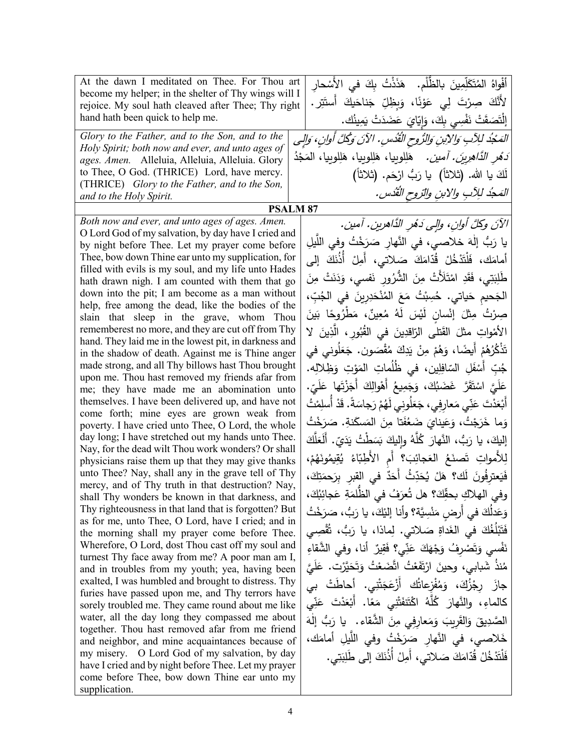| At the dawn I meditated on Thee. For Thou art                                                             | أَفْواهُ المُتَكَلِّمِينَ بِالظَّلْمِ. ۖ هَذَذْتُ بِكَ فـى الأَسْحارِ            |
|-----------------------------------------------------------------------------------------------------------|----------------------------------------------------------------------------------|
| become my helper; in the shelter of Thy wings will I                                                      | لأَنَّكَ صِرْتَ لِي عَوْنًا، وَبِظِلِّ جَناحَيكَ أَستَتِر.                       |
| rejoice. My soul hath cleaved after Thee; Thy right<br>hand hath been quick to help me.                   |                                                                                  |
|                                                                                                           | إِلْتَصَقَتْ نَفْسِي بِكَ، وَإِيّايَ عَضَدَتْ يَمِينُك.                          |
| Glory to the Father, and to the Son, and to the<br>Holy Spirit; both now and ever, and unto ages of       | المَجْدُ للِآبِ وَالآينِ وَالرُّوحِ الْقُدْسِ. الآنَ وَكُلَّ أُوانِ، وَالِي      |
| ages. Amen. Alleluia, Alleluia, Alleluia. Glory                                                           | <i>َدَهْرِ الدَّاهِرِينَ. آمين.</i> هَلِلوبِيا، هَلِلوبِيا، هَلِلوبِيا، المَجْدُ |
| to Thee, O God. (THRICE) Lord, have mercy.                                                                | لَكَ يا الله. (ثلاثاً)  يا رَبُّ ارْحَم. (ثلاثاً)                                |
| (THRICE) Glory to the Father, and to the Son,                                                             |                                                                                  |
| and to the Holy Spirit.                                                                                   | المَحِدُ للِآبِ والابنِ والرّوحِ القُدُسِ.                                       |
|                                                                                                           | <b>PSALM 87</b>                                                                  |
| Both now and ever, and unto ages of ages. Amen.<br>O Lord God of my salvation, by day have I cried and    | الآنَ وكلَّ أوانِ، وإلى دَهْرِ الدَّاهرينِ. آمين.                                |
| by night before Thee. Let my prayer come before                                                           | يا رَبُّ إلٰهَ خلاصي، في النَّهارِ صَرَخْتُ وفي اللَّيلِ                         |
| Thee, bow down Thine ear unto my supplication, for                                                        | أمامَك، فَلْتَدْخُلْ قُدّامَكَ صَلاتي، أَمِلْ أَذُنَكَ إلى                       |
| filled with evils is my soul, and my life unto Hades                                                      |                                                                                  |
| hath drawn nigh. I am counted with them that go                                                           | طَٰلِبَتِي، فَقَدِ امْتَلَأْتْ مِنَ الشَّرُورِ نَفسى، وَدَنَتْ مِنَ              |
| down into the pit; I am become as a man without<br>help, free among the dead, like the bodies of the      | الجَحيم حَياتي. حُسِبْتُ مَعَ المُنْحَدِرِينَ في الجُبِّ،                        |
| slain that sleep in the grave, whom Thou                                                                  | صِرْتُ مِثْلَ إِنْسانٍ لَيْسَ لَهُ مُعِينٌ، مَطْرُوحًا بَينَ                     |
| rememberest no more, and they are cut off from Thy                                                        | الأَمْواتِ مثلَ القَتلى الرّاقدِينَ في القُبُورِ ، الَّذِينَ لا                  |
| hand. They laid me in the lowest pit, in darkness and                                                     |                                                                                  |
| in the shadow of death. Against me is Thine anger                                                         | تَذْكُرُهُمْ أَيضًا، وَهُمْ مِنْ يَدِكَ مُقْصَون. جَعَلُوني في                   |
| made strong, and all Thy billows hast Thou brought<br>upon me. Thou hast removed my friends afar from     | جُبِّ أَسْفَلِ السّافِلِينِ، في ظُلُماتِ المَوْتِ وَظِلالِه.                     |
| me; they have made me an abomination unto                                                                 | عَلَيَّ اسْتَقَرَّ غَضَبُكَ، وَجَمِيعُ أَهْوالِكَ أَجَزْتَها عَلَيِّ.            |
| themselves. I have been delivered up, and have not                                                        | أَبْعَدْتَ عَنِّي مَعارِفِي، جَعَلُونِي لَهُمْ رَجاسَةً. قَدْ أَسلِمْتُ          |
| come forth; mine eyes are grown weak from                                                                 | وَما خَرَجْتُ، وَعَينايَ ضَعُفَتا مِنَ المَسكَنةِ. صَرَخْتُ                      |
| poverty. I have cried unto Thee, O Lord, the whole                                                        |                                                                                  |
| day long; I have stretched out my hands unto Thee.<br>Nay, for the dead wilt Thou work wonders? Or shall  | إليكَ، يا رَبُّ، النَّهارَ كُلَّهُ وإليكَ بَسَطْتُ يَدَيّ. أَلَعَلَّكَ           |
| physicians raise them up that they may give thanks                                                        | لِلأَمواتِ تَصنَعُ العَجائِبَ؟ أم الأَطِبّاءُ يُقِيمُونَهُمْ،                    |
| unto Thee? Nay, shall any in the grave tell of Thy                                                        | فَيَعترِفُونَ لَك؟ هَلْ يُحَدِّثُ أَحَدٌ في القبرِ بِرَحمَتِكَ،                  |
| mercy, and of Thy truth in that destruction? Nay,                                                         | وفي الهلاكِ بحقِّكَ؟ هل تُعرَفُ في الظُّلمَةِ عَجائِبُكَ،                        |
| shall Thy wonders be known in that darkness, and<br>Thy righteousness in that land that is forgotten? But |                                                                                  |
| as for me, unto Thee, O Lord, have I cried; and in                                                        | وَعَدلُكَ في أرضٍ مَنْسِيَّة؟ وأنا إليْكَ، يا رَبُّ، صَرَخْتُ                    |
| the morning shall my prayer come before Thee.                                                             | فَتَبْلُغُكَ فى الغَداةِ صَلاتي. لِماذا، يا رَبُ، ثُقْصِي                        |
| Wherefore, O Lord, dost Thou cast off my soul and                                                         | نَفْسى وَتَصْرِفُ وَجْهَكَ عَنِّي؟ فَقِيرٌ أنا، وفي الشَّقاءِ                    |
| turnest Thy face away from me? A poor man am I,<br>and in troubles from my youth; yea, having been        | مُنذُ شَبابي، وحينَ ارْتَفَعْتُ اتَّضَعْتُ وَتَحَيَّرْت. عَلَيَّ                 |
| exalted, I was humbled and brought to distress. Thy                                                       |                                                                                  |
| furies have passed upon me, and Thy terrors have                                                          | جازَ رجْزُكَ، وَمُفْزعاتُك أَزْعَجَتْنِي. أَحاطَتْ بي                            |
| sorely troubled me. They came round about me like                                                         | كالماءِ، والنَّهارَ كُلَّهُ اكْتَنَفَتْنِي مَعًا. أَبْعَدْتَ عَنِّي              |
| water, all the day long they compassed me about                                                           | الصَّدِيقَ وَالقَرِيبَ وَمَعارِفِي مِنَ الشَّقاء. ۖ يا رَبُّ إلٰهَ               |
| together. Thou hast removed afar from me friend<br>and neighbor, and mine acquaintances because of        | خَلاصي، في النَّهار صَرَخْتُ وفي اللَّيلِ أمامَك،                                |
| my misery. O Lord God of my salvation, by day                                                             | فَلْتَدْخُلْ قُدّامَكَ صَلاتي، أَمِلْ أَذُنَكَ إلى طَلِبَتِي.                    |
| have I cried and by night before Thee. Let my prayer                                                      |                                                                                  |
| come before Thee, bow down Thine ear unto my                                                              |                                                                                  |
| supplication.                                                                                             |                                                                                  |

 $\mathbf{r}$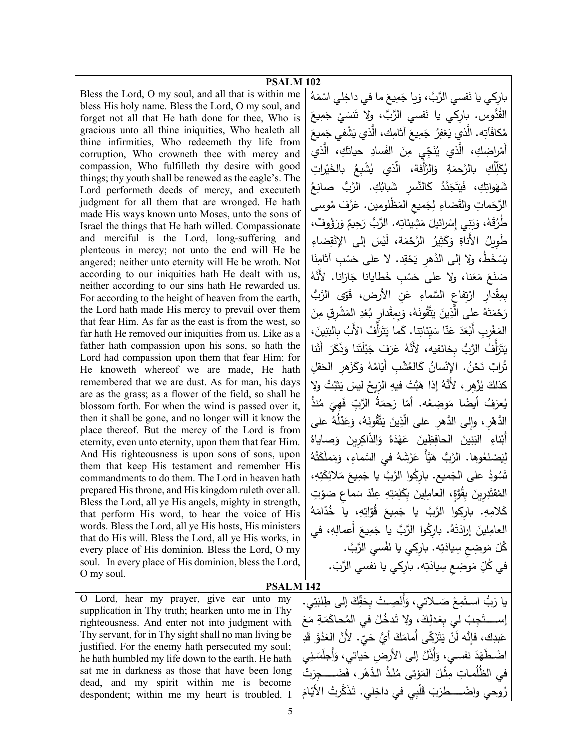| PSALM <sub>102</sub>                                                                                         |                                                                               |
|--------------------------------------------------------------------------------------------------------------|-------------------------------------------------------------------------------|
| Bless the Lord, O my soul, and all that is within me                                                         | باركي يا نَفسي الرَّبَّ، وَيا جَمِيعَ ما في داخِلي اسْمَهُ                    |
| bless His holy name. Bless the Lord, O my soul, and                                                          | القُدُّوس. بارِكي يا نَفسي الرَّبَّ، ولا نَنسَيْ جَمِيعَ                      |
| forget not all that He hath done for thee, Who is                                                            |                                                                               |
| gracious unto all thine iniquities, Who healeth all<br>thine infirmities, Who redeemeth thy life from        | مُكافَأَتِه. الّذي يَغفِرُ جَمِيعَ أثامِك، الّذي يَشْفي جَميعَ                |
| corruption, Who crowneth thee with mercy and                                                                 | أَمْراضِكِ، الَّذي يُنَجِّي مِنَ الفَسادِ حياتَكِ، الَّذي                     |
| compassion, Who fulfilleth thy desire with good                                                              | يُكَلِّلَكِ   بالرَّحمَةِ    وَالرَّأفة،    الَّذي    يُشْبِعُ    بالخَيْراتِ |
| things; thy youth shall be renewed as the eagle's. The                                                       |                                                                               |
| Lord performeth deeds of mercy, and executeth                                                                | شَهَوانِكِ، فَيَتَجَدَّدُ كَالنَّسْرِ شَبابُكِ. الرَّبُّ صانِعُ               |
| judgment for all them that are wronged. He hath                                                              | الرَّحَماتِ والقَضاءِ لِجَميعِ المَظْلومينِ. عَرَّفَ مُوسى                    |
| made His ways known unto Moses, unto the sons of                                                             |                                                                               |
| Israel the things that He hath willed. Compassionate                                                         | طَّرُقَهُ، وَبَنِي إِسْرائيلَ مَشِيئاتِه. الرَّبُّ رَحِيمٌ وَرَؤُوفٌ،         |
| and merciful is the Lord, long-suffering and                                                                 | طَوِيلُ الأَناةِ وَكَثِيرُ الرَّحْمَة، لَيْسَ إِلَى الإِنْقِضاءِ              |
| plenteous in mercy; not unto the end will He be<br>angered; neither unto eternity will He be wroth. Not      | يَسْخَطُ، ولا إلى الدَّهر يَحْقِد. لا على حَسْبِ آثامِنَا                     |
| according to our iniquities hath He dealt with us,                                                           | صَنَعَ مَعَنا، ولا على حَسْبٍ خَطايانا جَازانا. لأنَّهُ                       |
| neither according to our sins hath He rewarded us.<br>For according to the height of heaven from the earth,  | بمِقْدار ارْتِفاع السَّماءِ عَنِ الأرضِ، قَوَّى الرَّبُّ                      |
| the Lord hath made His mercy to prevail over them                                                            | رَحْمَتَهُ على الَّذِينَ يَتَّقُونَهُ، وَبِمِقْدارِ بُعْدِ المَشْرِقِ مِنَ    |
| that fear Him. As far as the east is from the west, so                                                       | المَغْربِ أَبْعَدَ عَنّا سَيِّئاتِنا. كَما يَتَرَأفُ الأَبُ بِالبَنِينَ،      |
| far hath He removed our iniquities from us. Like as a<br>father hath compassion upon his sons, so hath the   |                                                                               |
| Lord had compassion upon them that fear Him; for                                                             | يَتَزَأْفُ الرَّبُّ بخائفيه، لأَنَّهُ عَرَفَ جَبْلَتَنا وَذَكَرَ أَنَّنا      |
| He knoweth whereof we are made, He hath                                                                      | تُرابٌ نَحْنُ. الإِنْسانُ كَالغُشْبِ أَيّامُهُ وَكَزَهرِ الْحَقلِ             |
| remembered that we are dust. As for man, his days                                                            | كذلكَ يُزْهِرٍ ، لأنَّهُ إذا هَبَّتْ فيهِ الرّيحُ ليسَ يَثْبُتُ ولا           |
| are as the grass; as a flower of the field, so shall he                                                      | يُعرَفُ أَيضًا مَوضِعُه. أمّا رَحمَةُ الرَّبِّ فَهِيَ مُنذُ                   |
| blossom forth. For when the wind is passed over it,<br>then it shall be gone, and no longer will it know the |                                                                               |
| place thereof. But the mercy of the Lord is from                                                             | الدَّهْرِ ، وإلى الدَّهْرِ على الَّذِينَ يَتَّقُونَهُ، وَعَدْلُهُ على         |
| eternity, even unto eternity, upon them that fear Him.                                                       | أَبْناءِ النَّنِينَ الْحافِظِينَ عَهْدَهُ وَالذَّاكِرِينَ وَصاياهُ            |
| And His righteousness is upon sons of sons, upon                                                             | لِيَصْنَعُوها. الرَّبُّ هَيَّأَ عَرْشَهُ في السَّماءِ، وَمَملَكَتُهُ          |
| them that keep His testament and remember His                                                                | تَسُودُ على الجَميع. باركُوا الرَّبَّ يا جَمِيعَ مَلائِكَتِهِ،                |
| commandments to do them. The Lord in heaven hath<br>prepared His throne, and His kingdom ruleth over all.    |                                                                               |
| Bless the Lord, all ye His angels, mighty in strength,                                                       | الْمُقْتَدِرِينَ بِقُوَّةٍ، الْعَامِلِينَ بِكَلِمَتِهِ عِنْدَ سَماعٍ صَوْتِ   |
| that perform His word, to hear the voice of His                                                              | كَلامِهِ. باركوا الرَّبَّ يا جَمِيعَ قَوّاتِهِ، يا خُدّامَهُ                  |
| words. Bless the Lord, all ye His hosts, His ministers                                                       | العامِلِينَ إِرادَتَهُ. بارِكُوا الرَّبَّ يا جَمِيعَ أعمالِهِ، في             |
| that do His will. Bless the Lord, all ye His works, in<br>every place of His dominion. Bless the Lord, O my  | كُلّ مَوضِعٍ سِيادَتِه. بارِكِي يا نَفْسي الرَّبَّ.                           |
| soul. In every place of His dominion, bless the Lord,                                                        |                                                                               |
| O my soul.                                                                                                   | في كُلِّ مَوضِعٍ سِيادَتِه. بارِكي يا نفسي الرَّبّ.                           |
| <b>PSALM 142</b>                                                                                             |                                                                               |
| O Lord, hear my prayer, give ear unto my                                                                     | يا رَبُّ استَمِعْ صَــلاتي، وَأَنْصِـتْ بِحَقِّكَ إِلَى طِلْبَتِي.            |
| supplication in Thy truth; hearken unto me in Thy                                                            |                                                                               |
| righteousness. And enter not into judgment with                                                              | إستَجِبْ لي بِعَدلِكَ، ولا تَدخُلْ في المُحاكَمَةِ مَعَ                       |
| Thy servant, for in Thy sight shall no man living be                                                         | عَبدِكَ، فإنَّه لَنْ يَتَزَكَّى أَمامَكَ أَيُّ حَيٍّ. لأنَّ الْعَدُوَّ قَدِ   |
| justified. For the enemy hath persecuted my soul;<br>he hath humbled my life down to the earth. He hath      | اضْطَهَدَ نفسي، وَأَذَلَّ إلى الأرضِ حَياتي، وَأَجلَسَنِي                     |
|                                                                                                              |                                                                               |

sat me in darkness as those that have been long dead, and my spirit within me is become despondent; within me my heart is troubled. I ُ َ ْت ُ في الظل َضـــــــــــــ َ ِجر ْر، ف ْ ُذ َّ الــده ُنــ ْ تى م َو َ الم ِثــْ ل ِ مــات م رُوحي واضْـــــطرَبَ قَلْبِي في داخِلي. تَذَكَّرتُ الأَيّامَ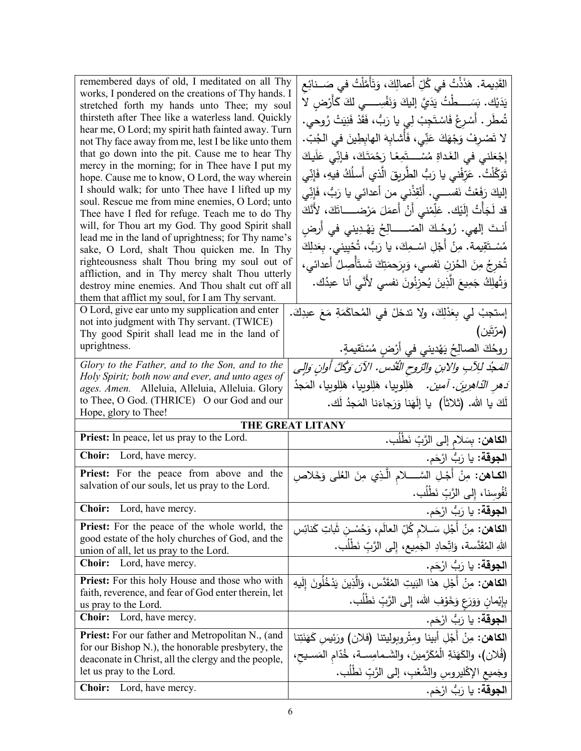| remembered days of old, I meditated on all Thy<br>works, I pondered on the creations of Thy hands. I<br>stretched forth my hands unto Thee; my soul<br>thirsteth after Thee like a waterless land. Quickly<br>hear me, O Lord; my spirit hath fainted away. Turn<br>not Thy face away from me, lest I be like unto them<br>that go down into the pit. Cause me to hear Thy<br>mercy in the morning; for in Thee have I put my<br>hope. Cause me to know, O Lord, the way wherein<br>I should walk; for unto Thee have I lifted up my<br>soul. Rescue me from mine enemies, O Lord; unto<br>Thee have I fled for refuge. Teach me to do Thy<br>will, for Thou art my God. Thy good Spirit shall<br>lead me in the land of uprightness; for Thy name's<br>sake, O Lord, shalt Thou quicken me. In Thy | القَدِيمة. هَذَذْتُ في كُلِّ أَعمالِكَ، وَتَأَمَّلْتُ في صَــنائِع<br>يَدَيْك. بَسَــــطَّتُ يَدَيَّ إِلَيكَ وَنَفْسِـــــى لَكَ كَأَرْضِ لا<br>تُمطَر . أَسْرِعْ فَاسْتَجِبْ لِي يا رَبُّ، فَقَدْ فَنِيَتْ رُوحي.<br>لا تَصْرِفْ وَجْهَكَ عَنِّى، فَأَشابِهَ الهابِطِينَ في الجُبّ.<br>إِجْعَلْنِي فِي الْغَداةِ مُسْـــتَمِعًا رَحْمَتَكَ، فإنِّي عَلَيكَ<br>تَوَكَّلْتُ. عَرّفْني يا رَبُّ الطّريقَ الّذي أسلُكُ فيهِ، فَإِنِّي<br>إليكَ رَفَعْتُ نَفســـي. أَنْقِذْنـي من أعدائـي يا رَبٌّ، فَإِنِّي<br>قد لَجَأْتُ إِلَيْك. عَلِّمْني أَنْ أَعمَلَ مَرْضـــــاتَكَ، لأَنَّكَ<br>أنـتَ إلهي. رُوحُـكَ الصّــــــالِحُ يَهْـدِيني في أرضِ<br>مُسْـتَقِيمة. مِنْ أَجْلِ اسْـمِكَ، يا رَبُّ، تُحْيِيني. بِعَدلِكَ |
|-----------------------------------------------------------------------------------------------------------------------------------------------------------------------------------------------------------------------------------------------------------------------------------------------------------------------------------------------------------------------------------------------------------------------------------------------------------------------------------------------------------------------------------------------------------------------------------------------------------------------------------------------------------------------------------------------------------------------------------------------------------------------------------------------------|--------------------------------------------------------------------------------------------------------------------------------------------------------------------------------------------------------------------------------------------------------------------------------------------------------------------------------------------------------------------------------------------------------------------------------------------------------------------------------------------------------------------------------------------------------------------------------------------------------------------------------------------------------------------------------------------------------------------|
| righteousness shalt Thou bring my soul out of<br>affliction, and in Thy mercy shalt Thou utterly<br>destroy mine enemies. And Thou shalt cut off all<br>them that afflict my soul, for I am Thy servant.                                                                                                                                                                                                                                                                                                                                                                                                                                                                                                                                                                                            | تُخرِجُ مِنَ الحُزنِ نَفسي، وَبِرَحمَتِكَ تَستَأْصِلُ أَعدائى،<br>وَتُهلِكُ جَمِيعَ الَّذِينَ يُحزِنُونَ نفسي لأَنَّي أنا عبدُك.                                                                                                                                                                                                                                                                                                                                                                                                                                                                                                                                                                                   |
| O Lord, give ear unto my supplication and enter<br>not into judgment with Thy servant. (TWICE)<br>Thy good Spirit shall lead me in the land of<br>uprightness.                                                                                                                                                                                                                                                                                                                                                                                                                                                                                                                                                                                                                                      | إستجبْ لي بِعَدْلِكَ، ولا تدخلْ في المُحاكَمَةِ مَعَ عبدِكَ.<br>(مرّتَين)<br>روحُكَ الصالِحُ يَهْديني في أَرْضِ مُسْتَقيمةٍ.                                                                                                                                                                                                                                                                                                                                                                                                                                                                                                                                                                                       |
| Glory to the Father, and to the Son, and to the<br>Holy Spirit; both now and ever, and unto ages of<br>ages. Amen. Alleluia, Alleluia, Alleluia. Glory<br>to Thee, O God. (THRICE) O our God and our<br>Hope, glory to Thee!                                                                                                                                                                                                                                                                                                                                                                                                                                                                                                                                                                        | المَجْدُ لِلِآبِ والابنِ والتروحِ الْقُدْسِ. الآنَ وَكُلَّ أُوانِ وَالِي<br><i>ُدهر الدّاهرِينَ. أمين.</i> هَلِلوبيا، هَلِلوبيا، هَلِلوبيا، المَجدُ<br>لَكَ يا الله. (ثلاثاً) ۚ يا إِلَهَنا وَرَجاءَنا المَجدُ لَك.                                                                                                                                                                                                                                                                                                                                                                                                                                                                                                |
|                                                                                                                                                                                                                                                                                                                                                                                                                                                                                                                                                                                                                                                                                                                                                                                                     | THE GREAT LITANY                                                                                                                                                                                                                                                                                                                                                                                                                                                                                                                                                                                                                                                                                                   |
| Priest: In peace, let us pray to the Lord.                                                                                                                                                                                                                                                                                                                                                                                                                                                                                                                                                                                                                                                                                                                                                          | ا <b>لكاهن:</b> بِسَلام إلى الرَّبِّ نَطْلُب.                                                                                                                                                                                                                                                                                                                                                                                                                                                                                                                                                                                                                                                                      |
| Choir: Lord, have mercy.                                                                                                                                                                                                                                                                                                                                                                                                                                                                                                                                                                                                                                                                                                                                                                            | ا <b>لجوقة:</b> يا رَبُّ ارْحَم.                                                                                                                                                                                                                                                                                                                                                                                                                                                                                                                                                                                                                                                                                   |
| Priest: For the peace from above and the<br>salvation of our souls, let us pray to the Lord.                                                                                                                                                                                                                                                                                                                                                                                                                                                                                                                                                                                                                                                                                                        | ا <b>لكــاهن:</b> مِنْ أَجْـلِ السَّــــــلامِ الَّـذِي مِنَ العُلمِي وَخَلاصِ<br>نُفُوسِنا، إِلى الرَّبِّ نَطْلُب.                                                                                                                                                                                                                                                                                                                                                                                                                                                                                                                                                                                                |
| Lord, have mercy.<br><b>Choir:</b>                                                                                                                                                                                                                                                                                                                                                                                                                                                                                                                                                                                                                                                                                                                                                                  | ا <b>لجوقة:</b> يا رَبُّ ارْحَم.                                                                                                                                                                                                                                                                                                                                                                                                                                                                                                                                                                                                                                                                                   |
| <b>Priest:</b> For the peace of the whole world, the<br>good estate of the holy churches of God, and the<br>union of all, let us pray to the Lord.                                                                                                                                                                                                                                                                                                                                                                                                                                                                                                                                                                                                                                                  | ا <b>لكاهن:</b> مِنْ أَجْلِ سَــلام كُلِّ العالَم، وَحُسْـنِ شَاتِ كَنائِسِ<br>اللهِ المُقَدَّسة، وَاتِّحادِ الجَمِيعِ، إِلى الرَّبِّ نَطْلُبٍ.                                                                                                                                                                                                                                                                                                                                                                                                                                                                                                                                                                    |
| <b>Choir:</b><br>Lord, have mercy.                                                                                                                                                                                                                                                                                                                                                                                                                                                                                                                                                                                                                                                                                                                                                                  | ا <b>لجوقة:</b> يا رَبُّ ارْحَم.                                                                                                                                                                                                                                                                                                                                                                                                                                                                                                                                                                                                                                                                                   |
| Priest: For this holy House and those who with<br>faith, reverence, and fear of God enter therein, let                                                                                                                                                                                                                                                                                                                                                                                                                                                                                                                                                                                                                                                                                              | <b>الكاهن:</b> مِنْ أَجْلِ هذا البَيتِ المُقَدَّس، وَالَّذِينَ يَدْخُلُونَ إِلَيهِ<br>بِإِيْمانِ وَوَرَعٍ وَخَوْفِ الله، إِلَى الرَّبِّ نَطْلُبٍ.                                                                                                                                                                                                                                                                                                                                                                                                                                                                                                                                                                  |
| us pray to the Lord.<br><b>Choir:</b><br>Lord, have mercy.                                                                                                                                                                                                                                                                                                                                                                                                                                                                                                                                                                                                                                                                                                                                          | ا <b>لجوقة:</b> يا رَبُّ ارْحَم.                                                                                                                                                                                                                                                                                                                                                                                                                                                                                                                                                                                                                                                                                   |
| Priest: For our father and Metropolitan N., (and                                                                                                                                                                                                                                                                                                                                                                                                                                                                                                                                                                                                                                                                                                                                                    | الكاهن: مِنْ أَجْلِ أبينا ومثْروبوليتنا (فلان) ورَئِيس كَهَنَتِنا                                                                                                                                                                                                                                                                                                                                                                                                                                                                                                                                                                                                                                                  |
| for our Bishop N.), the honorable presbytery, the<br>deaconate in Christ, all the clergy and the people,                                                                                                                                                                                                                                                                                                                                                                                                                                                                                                                                                                                                                                                                                            | (فُلان)، والكَهَنَةِ الْمُكَرَّمينَ، والشَـمامِسـة، خُدّام المَسـيح،                                                                                                                                                                                                                                                                                                                                                                                                                                                                                                                                                                                                                                               |
| let us pray to the Lord.                                                                                                                                                                                                                                                                                                                                                                                                                                                                                                                                                                                                                                                                                                                                                                            | وجَميع الإكْليروسِ والشَّعْبِ، إلى الرَّبِّ نَطْلَب.                                                                                                                                                                                                                                                                                                                                                                                                                                                                                                                                                                                                                                                               |
| <b>Choir:</b><br>Lord, have mercy.                                                                                                                                                                                                                                                                                                                                                                                                                                                                                                                                                                                                                                                                                                                                                                  | ا <b>لجوقة:</b> يا رَبُّ ارْحَم.                                                                                                                                                                                                                                                                                                                                                                                                                                                                                                                                                                                                                                                                                   |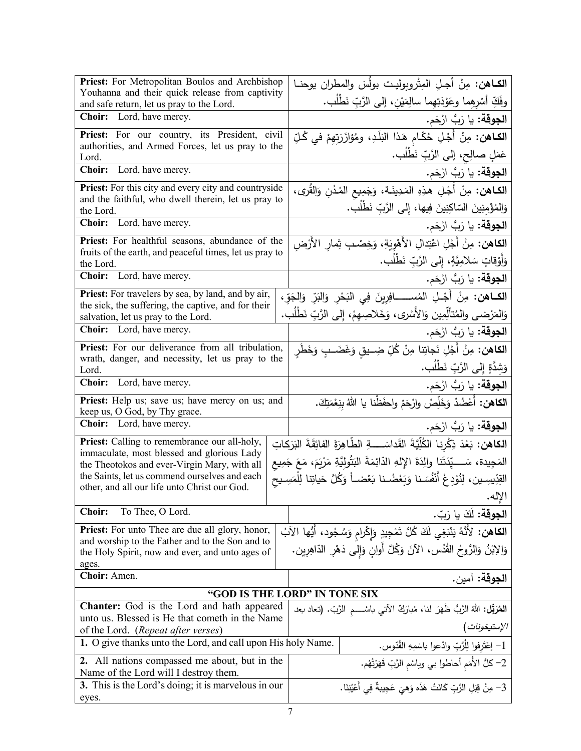| Priest: For Metropolitan Boulos and Archbishop                                                     | الكـاهن: مِنْ أجـلِ المِتْروبِوليـت بولُسَ والمطران يوحنـا                                     |
|----------------------------------------------------------------------------------------------------|------------------------------------------------------------------------------------------------|
| Youhanna and their quick release from captivity<br>and safe return, let us pray to the Lord.       | وفَكِّ أَسْرِهِما وعَوْدَتِهِما سالِمَيْنِ، إلى الرَّبِّ نَطْلُبٍ.                             |
| Choir: Lord, have mercy.                                                                           | ا <b>لجوقة:</b> يا رَبُّ ارْحَم.                                                               |
| Priest: For our country, its President, civil                                                      | ا <b>لكـاهن:</b> مِنْ أَجْلِ خُكّام هَذا البَلَدِ، ومُؤازَرَتِهِمْ في كُلِّ                    |
| authorities, and Armed Forces, let us pray to the<br>Lord.                                         | عَمَلٍ صالِحٍ، إلى الرَّبِّ نَطْلُبٍ.                                                          |
| Choir: Lord, have mercy.                                                                           | ا <b>لجوقة:</b> يا رَبُّ ارْحَم.                                                               |
| <b>Priest:</b> For this city and every city and countryside                                        | ا <b>لكـاهن:</b> مِنْ أَجْلِ هذِهِ المَدِينَـة، وَجَمِيع المُدُنِ وَالقُرى،                    |
| and the faithful, who dwell therein, let us pray to                                                | وَالِمُؤْمِنِينَ السّاكِنِينَ فِيها، إِلى الرَّبِّ نَطْلُب.                                    |
| the Lord.<br>Choir: Lord, have mercy.                                                              |                                                                                                |
| Priest: For healthful seasons, abundance of the                                                    | ا <b>لجوقة:</b> يا رَبُّ ارْحَم.                                                               |
| fruits of the earth, and peaceful times, let us pray to                                            | <b>الكاهن:</b> مِنْ أَجْلِ اعْتِدالِ الأَهْوِيَةِ، وَخِصْبِ ثِمارِ الأَرْضِ                    |
| the Lord.                                                                                          | وَأَوْقَاتٍ سَلامِيَّةٍ، إِلَى الرَّبِّ نَطْلُبٍ.                                              |
| Choir: Lord, have mercy.                                                                           | ا <b>لجوقة:</b> يا رَبُّ ارْحَم.                                                               |
| Priest: For travelers by sea, by land, and by air,                                                 | ا <b>لكــاهن:</b> مِنْ أَجْــلِ المُســــــــافِرِينَ فِي البَحْرِ  وَالنَبِّ  وَالجَوِّ ،     |
| the sick, the suffering, the captive, and for their<br>salvation, let us pray to the Lord.         | وَالمَرْضى والمُتألِّمِين وَالأَسْرى، وَخَلاصِهِمْ، إِلى الرَّبِّ نَطْلُب.                     |
| Choir: Lord, have mercy.                                                                           | ا <b>لجوقة:</b> يا رَبُّ ارْحَم.                                                               |
| Priest: For our deliverance from all tribulation,                                                  | <b>الكاهن:</b> مِنْ أَجْلِ نَجاتِنا مِنْ كُلِّ ضِــيقِ وَغَضَــبِ وَخَطَرِ                     |
| wrath, danger, and necessity, let us pray to the<br>Lord.                                          | وَشِدَّةٍ إِلَى الرَّبِّ نَطْلُب.                                                              |
| Choir: Lord, have mercy.                                                                           | ا <b>لجوقة:</b> يا رَبُّ ارْحَم.                                                               |
| Priest: Help us; save us; have mercy on us; and                                                    | <b>الكاهن:</b> أَعْضُدْ وَخَلِّصْ وارْحَمْ واحفَظْنا يا اللهُ بنِعْمَتِكَ.                     |
| keep us, O God, by Thy grace.                                                                      |                                                                                                |
| Choir: Lord, have mercy.                                                                           | ا <b>لجوقة:</b> يا رَبُّ ارْحَم.                                                               |
| Priest: Calling to remembrance our all-holy,<br>immaculate, most blessed and glorious Lady         | ا <b>لكاهن:</b> بَعْدَ ذِكْرِنا الكُلِّيَّةَ القَداسَــــةِ الطَّاهِرَةَ الفائِقَةَ البَرَكاتِ |
| the Theotokos and ever-Virgin Mary, with all                                                       | المَجِيدة، سَــــيِّدَتَنا والِدَةَ الإِلهِ الدّائِمَةَ البَثُولِيَّةِ مَرْيَمَ، مَعَ جَمِيع   |
| the Saints, let us commend ourselves and each                                                      | القِدِّيسِين، لِنُوْدِعْ أَنْفُسَنا وَبَعْضُـنا بَعْضـاً وَكُلَّ حَياتِنا لِلْمَسِـيح          |
| other, and all our life unto Christ our God.                                                       | الإله.                                                                                         |
| <b>Choir:</b><br>To Thee, O Lord.                                                                  | ا <b>لجوقة:</b> لَكَ يا رَبّ.                                                                  |
| <b>Priest:</b> For unto Thee are due all glory, honor,                                             | ا <b>لكاهن:</b> لأَنَّهُ يَنْبَغِي لَكَ كُلُّ تَمْجِيدٍ وَإِكْرامِ وَسُجُود، أَيُّها الآبُ     |
| and worship to the Father and to the Son and to<br>the Holy Spirit, now and ever, and unto ages of | وَالِابْنُ وَالرُّوحُ القُدُس، الآنَ وَكُلَّ أُوانِ وَإِلى دَهْرِ الدّاهِرِين.                 |
| ages.                                                                                              |                                                                                                |
| Choir: Amen.                                                                                       | الجوقة: آمين.                                                                                  |
|                                                                                                    | "GOD IS THE LORD" IN TONE SIX                                                                  |
| Chanter: God is the Lord and hath appeared                                                         | المُعَرَّقِل: اللهُ الزَّبُّ ظَهَرَ لنا، مُبارَكٌ الآتي باسْــــم الزَّبّ. (تـعاد <i>ب</i> عد  |
| unto us. Blessed is He that cometh in the Name<br>of the Lord. (Repeat after verses)               | الإستيخونات )                                                                                  |
| 1. O give thanks unto the Lord, and call upon His holy Name.                                       | 1– إعْتَرفوا لِلْرَّبِّ وإدْعوا باسْمِهِ القُدّوسِ.                                            |
| 2. All nations compassed me about, but in the                                                      | 2– كلُّ الأُمَم أحاطوا بي وباسْم الرَّبِّ قَهَرْتُهُم.                                         |
| Name of the Lord will I destroy them.                                                              |                                                                                                |
| 3. This is the Lord's doing; it is marvelous in our                                                | 3– مِنْ قِبَلِ الرَّبِّ كَانَتْ هَذَه وَهِيَ عَجِيبةٌ فِي أَعْيُنِنَا.                         |
| eyes.                                                                                              |                                                                                                |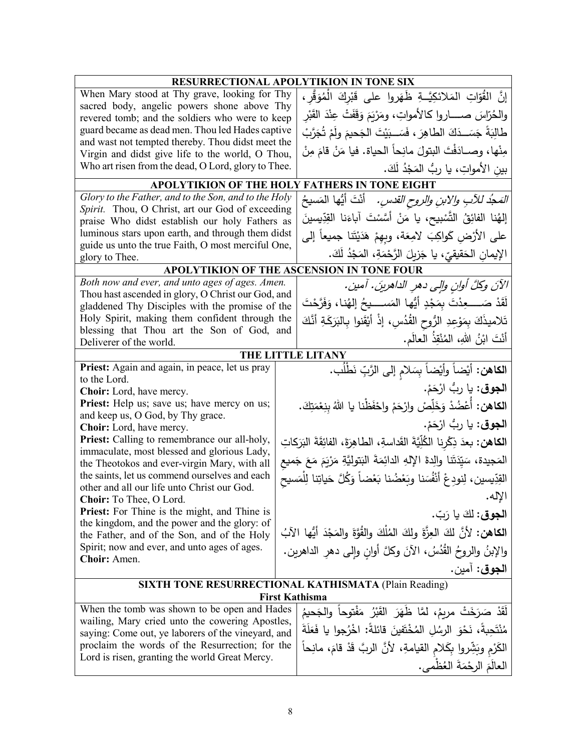|                                                                                                       | <b>RESURRECTIONAL APOLYTIKION IN TONE SIX</b>                                           |
|-------------------------------------------------------------------------------------------------------|-----------------------------------------------------------------------------------------|
| When Mary stood at Thy grave, looking for Thy                                                         | إِنَّ القُوّاتِ المَلائكِيَّــةِ ظَهَروا على قَبْرِكَ الْمُوَقَّرِ ،                    |
| sacred body, angelic powers shone above Thy                                                           | والحُرّاسَ صــــــاروا كـالأمواتِ، ومَرْيَمَ وَقَفَتْ عِنْدَ القَبْرِ                   |
| revered tomb; and the soldiers who were to keep                                                       |                                                                                         |
| guard became as dead men. Thou led Hades captive<br>and wast not tempted thereby. Thou didst meet the | طَالِبَةً جَسَــدَكَ الطاهِرَ ، فَسَــبَيْتَ الجَحيمَ ولَمْ تُجَرَّبْ                   |
| Virgin and didst give life to the world, O Thou,                                                      | مِنْها، وصــادَفْتَ البتولَ مانِحاً الحياة. فيا مَنْ قامَ مِنْ                          |
| Who art risen from the dead, O Lord, glory to Thee.                                                   | بين الأمواتِ، يا ربُّ المَجْدُ لَكَ.                                                    |
|                                                                                                       | APOLYTIKION OF THE HOLY FATHERS IN TONE EIGHT                                           |
| Glory to the Father, and to the Son, and to the Holy                                                  | <i>المَجْد للآبِ والابنِ والروح القدسِ.</i> أَنْتَ أَيُّها المَسيحُ                     |
| Spirit. Thou, O Christ, art our God of exceeding                                                      |                                                                                         |
| praise Who didst establish our holy Fathers as                                                        | إِلهُنا الفائِقُ التَّسْبِيحِ، يا مَنْ أَسَّسْتَ آباءَنا القِدِّيسينَ                   |
| luminous stars upon earth, and through them didst                                                     | على الأرْض كَواكِبَ لامِعَة، وبِهِمْ هَدَيْتَنا جميعاً إلى                              |
| guide us unto the true Faith, O most merciful One,<br>glory to Thee.                                  | الإيمان الحَقيقيّ، يا جَزيِلَ الرَّحْمَةِ، المَجْدُ لَكَ.                               |
|                                                                                                       | APOLYTIKION OF THE ASCENSION IN TONE FOUR                                               |
| Both now and ever, and unto ages of ages. Amen.                                                       | الآنَ وكلَّ أوانِ والِي دهرِ الداهرينَ. آمين.                                           |
| Thou hast ascended in glory, O Christ our God, and                                                    | لَقَدْ صَــــــعِدْتَ بِمَجْدٍ أَيُّها المَســـــيحُ إلهُنا، وَفَرَّحْتَ                |
| gladdened Thy Disciples with the promise of the<br>Holy Spirit, making them confident through the     |                                                                                         |
| blessing that Thou art the Son of God, and                                                            | تَلاميذَكَ بِمَوْعِدِ الرُّوحِ القُدُسِ، إذْ أَيْقَنوا بِالبَرَكَةِ أَنَّكَ             |
| Deliverer of the world.                                                                               | أَنْتَ ابْنُ اللهِ، الْمُنْقِذُ الْعالَمِ.                                              |
|                                                                                                       | THE LITTLE LITANY                                                                       |
| Priest: Again and again, in peace, let us pray<br>to the Lord.                                        | ا <b>لكاهن:</b> أَيْضاً وأَيْضاً بِسَلام إلى الرَّبِّ نَطْلَب.                          |
| Choir: Lord, have mercy.                                                                              | ا <b>لجوق</b> : يا ربُّ ارْحَمْ.                                                        |
| Priest: Help us; save us; have mercy on us;                                                           | الكاهن: أَعْضُدْ وَخَلِّصْ وارْحَمْ واحْفَظْنا يا اللهُ بِنِعْمَتِكَ.                   |
| and keep us, O God, by Thy grace.<br>Choir: Lord, have mercy.                                         | ا <b>لجوق</b> : يا ربُّ ارْحَمْ.                                                        |
| Priest: Calling to remembrance our all-holy,                                                          | ا <b>لكاهن:</b> بعدَ ذِكْرِنا الكُلِّيَّةَ القَداسةِ، الطاهِرَةَ، الفائِقَةَ البَرَكاتِ |
| immaculate, most blessed and glorious Lady,<br>the Theotokos and ever-virgin Mary, with all           | المَجيدة، سَيِّدَتَنا والِدةَ الإِلهِ الدائِمَةَ البَتولِيَّةِ مَرْيَمَ مَعَ جَميع      |
| the saints, let us commend ourselves and each                                                         | القِدِّيسين، لِنودِعْ أَنْفُسَنا وبَعْضُنا بَعْضاً وَكُلَّ حَياتِنا لِلْمَسيح           |
| other and all our life unto Christ our God.                                                           | الإله.                                                                                  |
| <b>Choir:</b> To Thee, O Lord.<br>Priest: For Thine is the might, and Thine is                        |                                                                                         |
| the kingdom, and the power and the glory: of                                                          | ا <b>لجوق:</b> لكَ يا رَبّ.                                                             |
| the Father, and of the Son, and of the Holy<br>Spirit; now and ever, and unto ages of ages.           | الكاهن: لأنَّ لكَ العِزَّةَ ولِكَ المُلْكَ والقُوَّةَ والمَجْدَ أَيُّها الآبُ           |
| Choir: Amen.                                                                                          | والإبنُ والروحُ القُدُسُ، الآنَ وكلَّ أوانِ وإلى دهرِ الداهرين.                         |
|                                                                                                       | ا <b>لجوق</b> : أمين.                                                                   |
|                                                                                                       | <b>SIXTH TONE RESURRECTIONAL KATHISMATA (Plain Reading)</b>                             |
| When the tomb was shown to be open and Hades                                                          | <b>First Kathisma</b>                                                                   |
| wailing, Mary cried unto the cowering Apostles,                                                       | لقَدْ صَرَخَتْ مربمُ، لمَّا ظَهَرَ القَبْرُ مَفْتوحاً والجَحيمُ                         |
| saying: Come out, ye laborers of the vineyard, and                                                    | مُنْتَحِبةً، نَحْوَ الرِسُلِ المُخْتَفِينَ قائلةً: اخْرُجوا يا فَعَلَةَ                 |
| proclaim the words of the Resurrection; for the<br>Lord is risen, granting the world Great Mercy.     | الكَرْمِ وبَشِّروا بِكَلامِ القيامةِ، لأنَّ الربَّ قَدْ قامَ، مانِحاً                   |
|                                                                                                       | العالَمَ الرحْمَةَ العُظْمي.                                                            |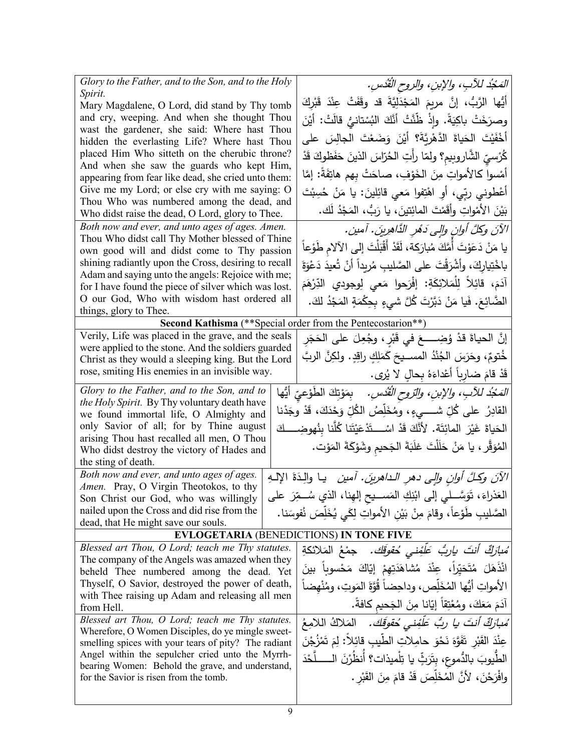| Glory to the Father, and to the Son, and to the Holy                                          | المَحْدُ للآبِ، والإبنِ، والروح القُدُسِ.                                          |
|-----------------------------------------------------------------------------------------------|------------------------------------------------------------------------------------|
| Spirit.                                                                                       | أَيُّها الرَّبُّ، إنَّ مربِمَ المَجْدَلِيَّةَ قد وقَفَتْ عِنْدَ قَبْرِكَ           |
| Mary Magdalene, O Lord, did stand by Thy tomb<br>and cry, weeping. And when she thought Thou  |                                                                                    |
| wast the gardener, she said: Where hast Thou                                                  | وصرَخَتْ باكِيَةً. وإِذْ ظَنَّتْ أَنَّكَ الْبُسْتانيُّ قالَتْ: أَيْنَ              |
| hidden the everlasting Life? Where hast Thou                                                  | أَخْفَيْتَ الْحَياةَ الدَّهْرِيَّةَ؟ أَيْنَ وَضَعْتَ الْجالِسَ على                 |
| placed Him Who sitteth on the cherubic throne?                                                | كُرْسيّ الشَّاروبيم؟ ولمّا رأتِ الحُرّاسَ الذينَ حَفَظوكَ قَدْ                     |
| And when she saw the guards who kept Him,                                                     |                                                                                    |
| appearing from fear like dead, she cried unto them:                                           | أَمْسوا كالأمواتِ مِنَ الْخَوْفِ، صاحَتْ بِهم هاتِفَةً: إمَّا                      |
| Give me my Lord; or else cry with me saying: O                                                | أَعْطُونِي ربِّي، أَوِ اهْتِفُوا مَعي قَائِلينَ: يا مَنْ حُسِبْتَ                  |
| Thou Who was numbered among the dead, and<br>Who didst raise the dead, O Lord, glory to Thee. | بَيْنَ الأَمْواتِ وأَقَمْتَ المائِتينَ، يا رَبُّ، المَجْدُ لَك.                    |
| Both now and ever, and unto ages of ages. Amen.                                               |                                                                                    |
| Thou Who didst call Thy Mother blessed of Thine                                               | الآنَ وكلَّ أوانِ وإلى دَمُرِ الذَّاهِرِينَ. آمين.                                 |
| own good will and didst come to Thy passion                                                   | يا مَنْ دَعَوْتَ أَمَّكَ مُبارَكة، لَقَدْ أَقْبَلْتَ إلى الآلام طَوْعاً            |
| shining radiantly upon the Cross, desiring to recall                                          | باخْتِيارِكَ، وأَشْرَقْتَ على الصَّليبِ مُرِيداً أَنْ تُعيدَ دَعْوَةَ              |
| Adam and saying unto the angels: Rejoice with me;                                             |                                                                                    |
| for I have found the piece of silver which was lost.                                          | آدَمَ، قَائِلاً لِلْمَلائِكَةِ: إِفْرَحوا مَعى لِوجودي الدِّرْهَمَ                 |
| O our God, Who with wisdom hast ordered all                                                   | الضَّائِعَ. فَيا مَنْ دَبَّرْتَ كُلَّ شَيءٍ بِحِكْمَةٍ المَجْدُ لكَ.               |
| things, glory to Thee.<br>Second Kathisma (** Special order from the Pentecostarion**)        |                                                                                    |
| Verily, Life was placed in the grave, and the seals                                           |                                                                                    |
| were applied to the stone. And the soldiers guarded                                           | إِنَّ الحياةَ قدْ وُضِـــــعَ في قَبْرٍ ، وجُعِلَ على الحَجَرِ                     |
| Christ as they would a sleeping king. But the Lord                                            | خُتومٌ، وحَرَسَ الجُنْدُ المســيحَ كَمَلِكٍ راقِدٍ. ولكِنَّ الربَّ                 |
| rose, smiting His enemies in an invisible way.                                                | قَدْ قَامَ ضارباً أَعْداءَهُ بِحالِ لا يُرى.                                       |
| Glory to the Father, and to the Son, and to                                                   | <i>المَجْدُ للأبِ، والإبنِ، والتروح القُدْسِ.</i> بِمَوْتِكَ الطَوْعيّ أيُّها      |
| the Holy Spirit. By Thy voluntary death have                                                  |                                                                                    |
| we found immortal life, O Almighty and                                                        | القادِرُ على كُلِّ شـــــيءٍ، ومُخَلِّصُ الكُلِّ وَحْدَكَ، قَدْ وجَدْنا            |
| only Savior of all; for by Thine august                                                       | الحَياةَ غَيْرَ المائِتَة. لأَنَّكَ قَدْ اسْـــتَدْعَيْتَنا كُلَّنا بِنُهوضِـــكَ  |
| arising Thou hast recalled all men, O Thou                                                    |                                                                                    |
| Who didst destroy the victory of Hades and                                                    | المُوَقِّرِ ، يا مَنْ حَلَلْتَ غلَبَةَ الجَحيمِ وشَوْكَةَ المَوْت.                 |
| the sting of death.                                                                           |                                                                                    |
| Both now and ever, and unto ages of ages.                                                     | الآنَ وكُلَّ أُولِنِ وإلى دهرِ الداهرينَ. أمين   يـا والِـدَةَ الإلـهِ             |
| Amen. Pray, O Virgin Theotokos, to thy<br>Son Christ our God, who was willingly               | الْعَذْرَاءَ، تَوَسَّـــلي إلى ابْنِكِ الْمَســـيح إلْهِذَا، الذي سُـــمِّرَ علــم |
| nailed upon the Cross and did rise from the                                                   |                                                                                    |
| dead, that He might save our souls.                                                           | الصَّليبِ طَوْعاً، وقامَ مِنْ بَيْنِ الأمواتِ لِكَي يُخَلِّصَ نُفوسَنا.            |
| <b>EVLOGETARIA (BENEDICTIONS) IN TONE FIVE</b>                                                |                                                                                    |
| Blessed art Thou, O Lord; teach me Thy statutes.                                              | ُ <i>مبارَكٌ أنتَ ياربُ عَلْفِنى حُقوقَك.</i> جمْعُ المَلائكةِ                     |
| The company of the Angels was amazed when they                                                |                                                                                    |
| beheld Thee numbered among the dead. Yet                                                      | انْذَهَلَ مُتَحَيِّراً، عِنْدَ مُشاهَدَتِهِمْ إِيَّاكَ مَحْسوباً بينَ              |
| Thyself, O Savior, destroyed the power of death,                                              | الأمواتِ أَيُّها المُخَلِّص، وداحِضاً قُوَّةَ المَوتِ، ومُنْهِضاً                  |
| with Thee raising up Adam and releasing all men                                               | آدَمَ مَعَكَ، ومُعْتِقاً إِيّانا مِنَ الْجَحيم كافةً.                              |
| from Hell.<br>Blessed art Thou, O Lord; teach me Thy statutes.                                |                                                                                    |
| Wherefore, O Women Disciples, do ye mingle sweet-                                             | مُ <i>بارَكٌ أنتَ يا ربُّ عَلَّفِنى حُقوقَك.</i> المَلاكُ اللامِعُ                 |
| smelling spices with your tears of pity? The radiant                                          | عِنْدَ القَبْرِ ۖ تَفَوَّهَ نَحْوَ حامِلاتِ الطَّيبِ قائِلاً: لِمَ تَمْزُجْنَ      |
| Angel within the sepulcher cried unto the Myrrh-                                              | الطَّيوبَ بالدُّموعِ، بِتَرَثٍّ يا تِلْميذات؟ أَنظُرْنَ الــــــلَّحْدَ            |
| bearing Women: Behold the grave, and understand,                                              |                                                                                    |
| for the Savior is risen from the tomb.                                                        |                                                                                    |
|                                                                                               | وافْرَحْنَ، لأَنَّ الْمُخَلِّصَ قَدْ قامَ مِنَ القَبْرِ .                          |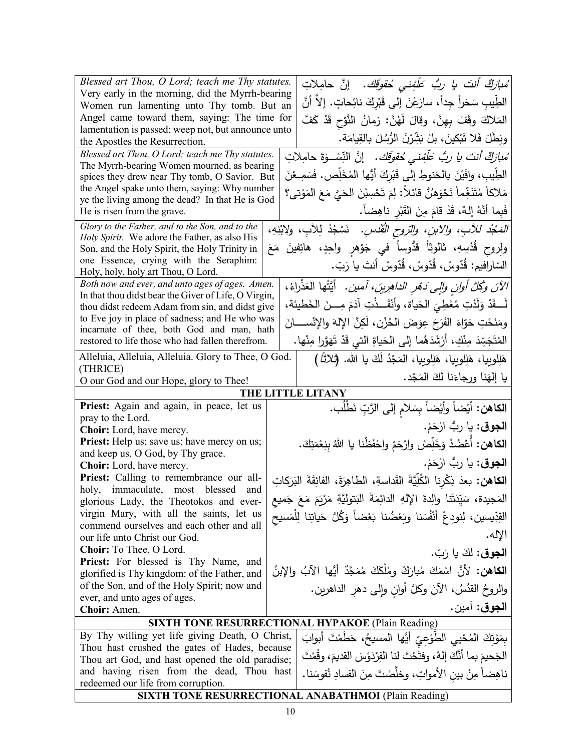| Blessed art Thou, O Lord; teach me Thy statutes.                                                 |                                                                                         |
|--------------------------------------------------------------------------------------------------|-----------------------------------------------------------------------------------------|
| Very early in the morning, did the Myrrh-bearing                                                 | ُ <i>مبارَكٌ أنتَ يا ربُّ عَلَّفِنى حُقوقَك.</i> إنَّ حامِلاتِ                          |
| Women run lamenting unto Thy tomb. But an                                                        | الطِّيبِ سَحَراً جِداً، سارَعْنَ إلى قَبْرِكَ نائِحاتٍ. إلاّ أنَّ                       |
| Angel came toward them, saying: The time for                                                     | المَلاكَ وقَفَ بِهِنَّ، وقالَ لَهُنَّ: زمانُ النَّوْحِ قَدْ كَفَّ                       |
| lamentation is passed; weep not, but announce unto<br>the Apostles the Resurrection.             | وِيَطَلَ فَلا تَبْكينَ، بلْ بَشِّرْنَ الرُّسُلَ بِالقِيامَةِ.                           |
| Blessed art Thou, O Lord; teach me Thy statutes.                                                 | ُ <i>مبارَكٌ أنتَ يا ربُّ عَلَّفِنى مُعَوقِك.</i> إنَّ النِّسْـوَةَ حامِلاتِ            |
| The Myrrh-bearing Women mourned, as bearing                                                      |                                                                                         |
| spices they drew near Thy tomb, O Savior. But                                                    | الطِّيبِ، وافَيْنَ بالْحَنوطِ إلى قَبْرِكَ أَيُّها الْمُخَلِّصِ. فَسَمِـعْنَ            |
| the Angel spake unto them, saying: Why number<br>ye the living among the dead? In that He is God | مَلاكاً مُتَنَغِّماً نَحْوَهُنَّ قائلاً: لِمَ تَحْسِبْنَ الحَيَّ مَعَ المَوْتي؟         |
| He is risen from the grave.                                                                      | فَبِما أَنَّهُ إِلَّهُ، قَدْ قَامَ مِنَ الْقَبْرِ ناهِضاً.                              |
| Glory to the Father, and to the Son, and to the                                                  | <i>المَجْدُ للأبِ، والابنِ، والرّوح القُدْسِ.</i> نَسْجُدُ لِلآبِ، ولابْنِهِ،           |
| Holy Spirit. We adore the Father, as also His                                                    |                                                                                         |
| Son, and the Holy Spirit, the Holy Trinity in                                                    | ولِروح قُدْسِهِ، ثالوثاً قدُّوساً في جَوْهرِ واحِدٍ، هاتِفينَ مَعَ                      |
| one Essence, crying with the Seraphim:<br>Holy, holy, holy art Thou, O Lord.                     | السّارافيم: قُدّوسٌ، قُدّوسٌ، قُدّوسٌ أنتَ يا رَبّ.                                     |
| Both now and ever, and unto ages of ages. Amen.                                                  |                                                                                         |
| In that thou didst bear the Giver of Life, O Virgin,                                             | الآنَ وكُلَّ أُولِنِ وَإِلَى دَهْرِ الدَاهِرِينَ، آمين. ۖ أَيَّتُهَا الْعَذْرَاءُ،      |
| thou didst redeem Adam from sin, and didst give                                                  | لَــقَدْ وَلَدْتِ مُعْطِيَ الْحَياة، وأَنْقَــذْتِ آدَمَ مِـــنَ الخَطيئة،              |
| to Eve joy in place of sadness; and He who was                                                   | ومَنَحْتِ حَوّاءَ الفَرَحَ عِوَضَ الحُزْنِ، لَكِنَّ الإِلهَ والإِنْســــانَ             |
| incarnate of thee, both God and man, hath<br>restored to life those who had fallen therefrom.    | المُتَجَسِّدَ مِنْكِ، أَرْشَدَهُما إلى الحَياةِ التي قَدْ تَهَوَّرا مِنْها.             |
| Alleluia, Alleluia, Alleluia. Glory to Thee, O God.                                              |                                                                                         |
| (THRICE)                                                                                         | هَلِلوبِيا، هَلِلوبِيا، هَلِلوبِيا، المَجْدُ لَكَ يا الله. (ثلاثًا )                    |
| O our God and our Hope, glory to Thee!                                                           | يا إلهَنا ورجاءَنا لكَ المَجْد.                                                         |
|                                                                                                  | THE LITTLE LITANY                                                                       |
| Priest: Again and again, in peace, let us                                                        | ا <b>لكاهن:</b> أَيْضاً وأَيْضاً بِسَلامِ إلى الرَّبِّ نَطْلُب.                         |
| pray to the Lord.                                                                                | ا <b>لجوق</b> : يا ربُّ ارْحَمْ.                                                        |
| Choir: Lord, have mercy.<br>Priest: Help us; save us; have mercy on us;                          |                                                                                         |
| and keep us, O God, by Thy grace.                                                                | ا <b>لكاهن:</b> أَعْضُدْ وَخَلِّصْ وارْحَمْ واحْفَظْنا يا اللهُ بِنِعْمَتِكَ.           |
| Choir: Lord, have mercy.                                                                         | ا <b>لجوق</b> : يا ربُّ ارْحَمْ.                                                        |
| Priest: Calling to remembrance our all-                                                          | ا <b>لكاهن:</b> بعدَ ذِكْرِنا الكُلِّيَّةَ القَداسةِ، الطاهِرَةَ، الفائِقَةَ البَرَكاتِ |
| holy, immaculate, most blessed<br>and                                                            | المَجيدة، سَيِّدَتَنا والِدةَ الإِلهِ الدائِمَةَ البَتولِيَّةِ مَرْيَمَ مَعَ جَميع      |
| glorious Lady, the Theotokos and ever-<br>virgin Mary, with all the saints, let us               |                                                                                         |
| commend ourselves and each other and all                                                         | القِدِّيسين، لِنودِعْ أَنْفُسَنا وبَعْضُنا بَعْضاً وَكُلَّ حَياتِنا لِلْمَسيح           |
| our life unto Christ our God.                                                                    | الإله.                                                                                  |
| Choir: To Thee, O Lord.                                                                          | ا <b>لجوق:</b> لَكَ يا رَبّ.                                                            |
| Priest: For blessed is Thy Name, and                                                             |                                                                                         |
| glorified is Thy kingdom: of the Father, and                                                     | الكاهن: لأنَّ اسْمَكَ مُبارَكٌ ومُلْكَكَ مُمَجَّدٌ أَيُّها الآبُ والإبنُ                |
| of the Son, and of the Holy Spirit; now and                                                      | والروحُ القدُسُ، الأنَ وكلَّ أوانِ وإلى دهرِ الداهرين.                                  |
| ever, and unto ages of ages.<br>Choir: Amen.                                                     | ا <b>لجوق</b> : آمين.                                                                   |
|                                                                                                  | SIXTH TONE RESURRECTIONAL HYPAKOE (Plain Reading)                                       |
| By Thy willing yet life giving Death, O Christ,                                                  |                                                                                         |
| Thou hast crushed the gates of Hades, because                                                    | بِمَوْتِكَ الْمُحْيِي الْطَوْعِيِّ أَيُّها الْمَسِيحُ، حَطَمْتَ أَبوابَ                 |
| Thou art God, and hast opened the old paradise;                                                  | الْجَحيمَ بِما أَنَّكَ إِلَّهٌ، وفِتَحْتَ لَنا الْفِرْدَوْسَ الْقَديمَ، وقُمْتَ         |
| and having risen from the dead, Thou hast                                                        | ناهِضاً مِنْ بين الأمواتِ، وخلَّصْتَ مِنَ الفسادِ نُفوسَنا.                             |
| redeemed our life from corruption.                                                               |                                                                                         |
|                                                                                                  | <b>SIXTH TONE RESURRECTIONAL ANABATHMOI (Plain Reading)</b>                             |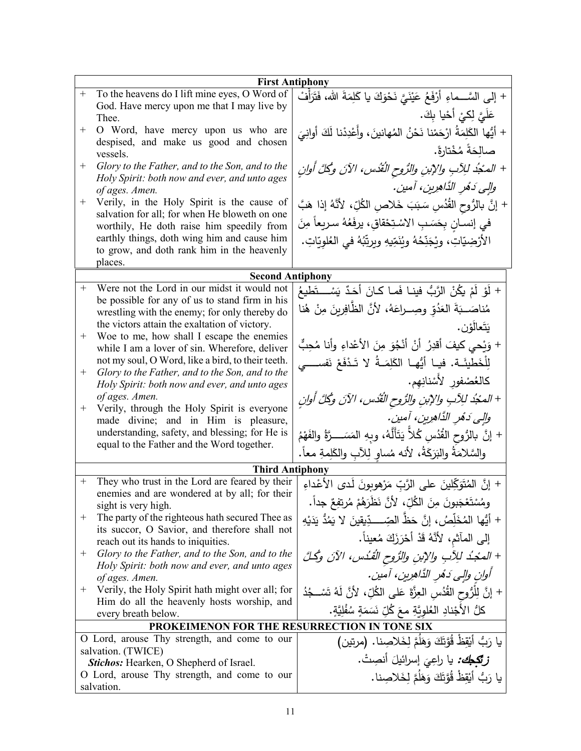|                  | <b>First Antiphony</b>                                                                               |                                                                               |
|------------------|------------------------------------------------------------------------------------------------------|-------------------------------------------------------------------------------|
| $\boldsymbol{+}$ | To the heavens do I lift mine eyes, O Word of                                                        | + إلى السَّـــماءِ أَرْفَعُ عَيْنَيَّ نَحْوَكَ يا كَلِمَةَ الله، فَتَرَأْفُ   |
|                  | God. Have mercy upon me that I may live by                                                           | عَلَيَّ لِكيْ أَحْيا بِكَ.                                                    |
| $^{+}$           | Thee.<br>O Word, have mercy upon us who are                                                          |                                                                               |
|                  | despised, and make us good and chosen                                                                | + أَيُّها الكَلِمَةُ ارْحَمْنا نَحْنُ المُهانينَ، وأَعْدِدْنا لَكَ أُوانِيَ   |
|                  | vessels.                                                                                             | صالِحَةً مُخْتارةً.                                                           |
| $^{+}$           | Glory to the Father, and to the Son, and to the                                                      | + المدُجُدُ للِآبِ والإبنِ والرُّوحِ الثَّفُسِ، الآنَ وكُلَّ أُوانِ           |
|                  | Holy Spirit: both now and ever, and unto ages                                                        | والِي دَهُرِ الذَّاهِرِينِ، آمينِ.                                            |
| $^{+}$           | of ages. Amen.<br>Verily, in the Holy Spirit is the cause of                                         |                                                                               |
|                  | salvation for all; for when He bloweth on one                                                        | + إنَّ بالرُّوحِ القُّدُسِ سَبَبَ خَلاصِ الكُلِّ، لأنَّهُ إذا هَبَّ           |
|                  | worthily, He doth raise him speedily from                                                            | في إنســانٍ بِحَسَــبِ الاسْـتِحْقاقِ، يرفَعُهُ سـريعاً مِنَ                  |
|                  | earthly things, doth wing him and cause him                                                          | الأَرْضِيّاتِ، ويْجَنِّحُهُ ويُنَمِّيهِ ويرتِّبُهُ في العُلوِيّاتِ.           |
|                  | to grow, and doth rank him in the heavenly                                                           |                                                                               |
|                  | places.                                                                                              |                                                                               |
| $+$              | <b>Second Antiphony</b><br>Were not the Lord in our midst it would not                               |                                                                               |
|                  | be possible for any of us to stand firm in his                                                       | + لَوْ لَمْ يكُنْ الرَّبُ فينـا فَمـا كـانَ أَحَدٌ يَسْـــتَطيعُ              |
|                  | wrestling with the enemy; for only thereby do                                                        | مُناصَــبَةَ العَدُوِّ وصِــراعَهُ، لأنَّ الظَّافِرينَ مِنْ هُنا              |
|                  | the victors attain the exaltation of victory.                                                        | يَتَعالَوْن.                                                                  |
| $^{+}$           | Woe to me, how shall I escape the enemies                                                            | + وَيْحِي كيفَ أقدِرُ أَنْ أَنْجُوَ مِنَ الأَعْداءِ وأنا مُحِبٌّ              |
|                  | while I am a lover of sin. Wherefore, deliver                                                        |                                                                               |
| $^{+}$           | not my soul, O Word, like a bird, to their teeth.<br>Glory to the Father, and to the Son, and to the | لِلْخَطِيئَـة. فيـا أَيُّهـا الكَلِمَـةُ لا تَـدْفَعْ نَفســــي               |
|                  | Holy Spirit: both now and ever, and unto ages                                                        | كالعُصْفور لأَسْنانِهِم.                                                      |
|                  | of ages. Amen.                                                                                       | + المحْدُ للِآبِ والإبنِ والرُّوحِ الْقُدُسِ، الآنَ وكُلَّ أُوانِ             |
| $^{+}$           | Verily, through the Holy Spirit is everyone                                                          | والى دَهْرِ الذَّاهِرِينِ، آمينِ.                                             |
|                  | made divine; and in Him is pleasure,<br>understanding, safety, and blessing; for He is               |                                                                               |
|                  | equal to the Father and the Word together.                                                           | + إنَّ بالرُّوحِ القُدُسِ كُلاًّ يَتَأَلَّهُ، وبِهِ المَسَــــرَّةُ والفَهْمُ |
|                  |                                                                                                      | والسَّلامَةُ والبَرَكَةُ، لأنه مُساوٍ لِلآبِ والكَلِمةِ معاً.                 |
|                  | <b>Third Antiphony</b>                                                                               |                                                                               |
| $^{+}$           | They who trust in the Lord are feared by their                                                       | + إنَّ المُتَوَكِّلينَ على الرَّبِّ مَرْهوبونَ لَدى الأعْداءِ                 |
|                  | enemies and are wondered at by all; for their<br>sight is very high.                                 | وِمُسْتَعْجَبُونَ مِنَ الْكُلِّ، لأَنَّ نَظْرَهُمْ مُرتِفِعٌ جِداً.           |
| $^+$             | The party of the righteous hath secured Thee as                                                      | + أَيُّها المُخَلِّصُ، إنَّ حَظِّ الصِّــــدِّيقِينَ لا يَمُدُّ يَدَيْهِ      |
|                  | its succor, O Savior, and therefore shall not                                                        |                                                                               |
|                  | reach out its hands to iniquities.                                                                   | إلى المآثم، لأنَّهُ قَدْ أَحْرَزَكَ مُعيناً.                                  |
| $^+$             | Glory to the Father, and to the Son, and to the                                                      | + المجْدُ للِآبِ والإبنِ والرُّوحِ الْقُدُسِ، الآنَ وكُلَّ                    |
|                  | Holy Spirit: both now and ever, and unto ages<br>of ages. Amen.                                      | أوان والى دَهْرِ الدَّاهِرِينِ، آمينِ.                                        |
| $^+$             | Verily, the Holy Spirit hath might over all; for                                                     | + إنَّ لِلْرُّوحِ القُدُسِ العِزَّةَ عَلى الكُلِّ، لأنَّ لَهُ تَسْــجُدُ      |
|                  | Him do all the heavenly hosts worship, and                                                           |                                                                               |
|                  | every breath below.                                                                                  | كلُ الأَجْنادِ العُلوِيَّةِ معَ كُلِّ نَسَمَةٍ سُفْلِيَّةٍ.                   |
|                  | PROKEIMENON FOR THE RESURRECTION IN TONE SIX                                                         |                                                                               |
|                  | O Lord, arouse Thy strength, and come to our                                                         | يا رَبُّ أَيْقِظُ قُوَّتَكَ وَهَلَمَّ لِخَلاصِنا. (مرتين)                     |
|                  | salvation. (TWICE)<br><b>Stichos:</b> Hearken, O Shepherd of Israel.                                 | <b>زتيمبك:</b> يا راعِيَ إسرائيلَ أنصِتْ.                                     |
|                  | O Lord, arouse Thy strength, and come to our                                                         | يا رَبُّ أَيْقِظْ قُوَّتَكَ وَهَلَمَّ لِخَلاصِنا.                             |
|                  | salvation.                                                                                           |                                                                               |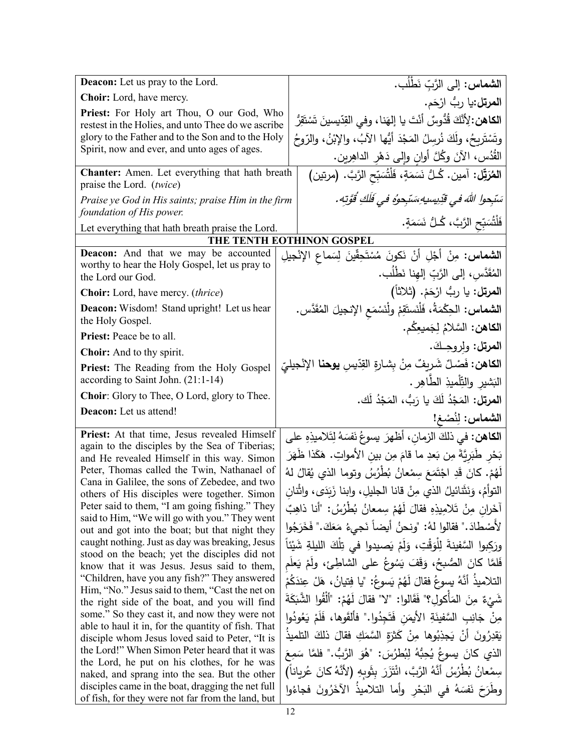| <b>Deacon:</b> Let us pray to the Lord.                                                            | الشماس: إلى الرَّبِّ نَطْلُبٍ.                                                                                                                     |
|----------------------------------------------------------------------------------------------------|----------------------------------------------------------------------------------------------------------------------------------------------------|
| Choir: Lord, have mercy.                                                                           | ا <b>لمرتل:</b> يا ربُّ ارْحَم.                                                                                                                    |
| Priest: For Holy art Thou, O our God, Who                                                          | ا <b>لكاهن:</b> لِأَنَّكَ قُدُّوسٌ أَنْتَ يا إِلهَنا، وفي القِدِّيسينَ تَسْتَقِرُّ                                                                 |
| restest in the Holies, and unto Thee do we ascribe                                                 |                                                                                                                                                    |
| glory to the Father and to the Son and to the Holy<br>Spirit, now and ever, and unto ages of ages. | وتَسْتَرِيحُ، ولَكَ نُرسِلُ المَجْدَ أَيُّها الآبُ، والإِبْنُ، والرّوحُ                                                                            |
|                                                                                                    | القُدُس، الآنَ وكُلَّ أُوانٍ وإِلَى دَهْرِ الداهِرينِ.                                                                                             |
| Chanter: Amen. Let everything that hath breath                                                     | ا <b>لمُرَتِّل:</b> آمين. كُـلُّ نَسَمَةٍ، فَلْشُبَدِّح الرَّبَّ. (مرتين)                                                                          |
| praise the Lord. (twice)                                                                           |                                                                                                                                                    |
| Praise ye God in His saints; praise Him in the firm<br>foundation of His power.                    | سَبْحوا اللهَ في قَدِيسيهِ سَبْحوهُ في فَلَكِ قُوَّتِهِ .                                                                                          |
| Let everything that hath breath praise the Lord.                                                   | فَلْتُسَبِّحِ الرَّبَّ، كُـلُّ نَسَمَةٍ.                                                                                                           |
|                                                                                                    | THE TENTH EOTHINON GOSPEL                                                                                                                          |
| <b>Deacon:</b> And that we may be accounted                                                        | <b>الشماس:</b> مِنْ أَجْلِ أَنْ نَكونَ مُسْتَحِقّينَ لِسَماعِ الإِنْجيلِ                                                                           |
| worthy to hear the Holy Gospel, let us pray to<br>the Lord our God.                                | المُقَدَّس، إلى الرَّبِّ إلهِنا نَطْلُب.                                                                                                           |
| Choir: Lord, have mercy. (thrice)                                                                  | ا <b>لمرتل:</b> يا ربُ ارْحَمْ. (ثلاثاً)                                                                                                           |
|                                                                                                    |                                                                                                                                                    |
| Deacon: Wisdom! Stand upright! Let us hear<br>the Holy Gospel.                                     | ا <b>لشماس:</b> الحِكْمَةُ، فَلْنَستَقِمْ ولْنَسْمَع الإنجيلَ المُقَدَّس.                                                                          |
| Priest: Peace be to all.                                                                           | ا <b>لكاهن:</b> السَّلامُ لِجَميعِكُم.                                                                                                             |
| Choir: And to thy spirit.                                                                          | المرتل: ولروحِكَ.                                                                                                                                  |
| Priest: The Reading from the Holy Gospel                                                           | ا <b>لكاهن:</b> فَصْلٌ شَريفٌ مِنْ بِشارةِ القِدِّيسِ <b>يوحنا</b> الإنْجيليِّ                                                                     |
| according to Saint John. (21:1-14)                                                                 | الْبَشْيْرِ وْالْتِّلْمِيْذِ الطَّاهِرِ .                                                                                                          |
| Choir: Glory to Thee, O Lord, glory to Thee.                                                       | ا <b>لمرتل:</b> المَجْدُ لَكَ يا رَبُّ، المَجْدُ لَك.                                                                                              |
| Deacon: Let us attend!                                                                             | الشماس: لِنُصْغ!                                                                                                                                   |
|                                                                                                    |                                                                                                                                                    |
| Priest: At that time, Jesus revealed Himself                                                       |                                                                                                                                                    |
| again to the disciples by the Sea of Tiberias;                                                     | ا <b>لكاهن:</b> في ذلكَ الزمان، أظهرَ يسوعُ نَفسَهُ لِتَلاميذِهِ على                                                                               |
| and He revealed Himself in this way. Simon                                                         | بَحْرٍ طَبَرِيَّةَ مِن بَعدِ ما قامَ مِن بينِ الأمواتِ. هَكَذا ظَهَرَ                                                                              |
| Peter, Thomas called the Twin, Nathanael of                                                        | لَهُمْ. كَانَ قَدِ اجْتَمَعَ سِمْعانُ بُطْرُسُ وتوما الذي يُقالُ لهُ                                                                               |
| Cana in Galilee, the sons of Zebedee, and two<br>others of His disciples were together. Simon      | النوأمُ، وَنَثَنائيلُ الذي مِنْ قانا الجليلِ، وابنا زَبَدَى، واثْنان                                                                               |
| Peter said to them, "I am going fishing." They                                                     | آخَرانِ مِنْ تَلامِيذِهِ فقالَ لَهُمْ سِمعانُ بُطْرُسُ: "أَنا ذَاهِبٌ                                                                              |
| said to Him, "We will go with you." They went                                                      |                                                                                                                                                    |
| out and got into the boat; but that night they<br>caught nothing. Just as day was breaking, Jesus  | لأصْطادَ." فقالوا لهُ: "ونحنُ أيضاً نَجيءُ مَعَكَ." فَخَرَجُوا                                                                                     |
| stood on the beach; yet the disciples did not                                                      | ورَكِبوا السَّفينةَ لِلْوَقْتِ، وَلَمْ يَصيدوا في تِلْكَ الليلةِ شَيْئاً                                                                           |
| know that it was Jesus. Jesus said to them,                                                        | فَلمَّا كانَ الصُّبحُ، وَقَفَ يَسُوعُ على الشاطِئِ، ولَمْ يَعلَم                                                                                   |
| "Children, have you any fish?" They answered<br>Him, "No." Jesus said to them, "Cast the net on    | التلاميذُ أنَّهُ يسوعُ فقالَ لَهُمْ يَسوعُ: "يا فِتيانُ، هَلْ عِندَكُمْ                                                                            |
| the right side of the boat, and you will find                                                      | شَيْءٌ مِنَ المَأْكُولِ؟" فَقَالُوا: "لا" فقالَ لَهُمْ: "أَلْقُوا الشَّبَكَةَ                                                                      |
| some." So they cast it, and now they were not                                                      | مِنْ جَانِبِ السَّفِينَةِ الأَيمَنِ فَتَجِدُوا." فأَلقَوها، فَلَمْ يَعُودُوا                                                                       |
| able to haul it in, for the quantity of fish. That                                                 | يَقْدِرُونَ أَنْ يَجِذِبُوها مِنْ كَثْرَةِ السَّمَكِ فَقَالَ ذَلَكَ التَلْمِيذُ                                                                    |
| disciple whom Jesus loved said to Peter, "It is<br>the Lord!" When Simon Peter heard that it was   |                                                                                                                                                    |
| the Lord, he put on his clothes, for he was                                                        | الذي كانَ يسوعُ يُحِبُّهُ لِبُطْرُسَ: "هُوَ الرَّبُّ." فلمَّا سَمِعَ                                                                               |
| naked, and sprang into the sea. But the other<br>disciples came in the boat, dragging the net full | سِمْعانُ بُطْرُسُ أَنَّهُ الرَّبَّ، ائْتَزَرَ بِثَوبِهِ (لأَنَّهُ كانَ عُرِياناً)<br>وطَرَحَ نَفسَهُ في البَحْرِ وأما التلاميذُ الآخَرُونَ فجاءُوا |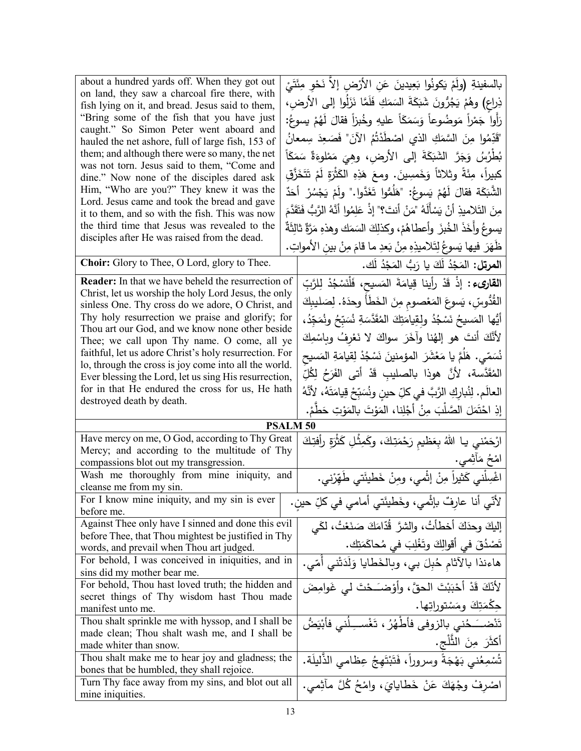| about a hundred yards off. When they got out                                                              |                                                                                          |
|-----------------------------------------------------------------------------------------------------------|------------------------------------------------------------------------------------------|
| on land, they saw a charcoal fire there, with                                                             | بالسفينةِ (ولَمْ يَكونُوا بَعِيدينَ عَنِ الأرْضِ إلاّ نَحْوِ مِئَتَىْ                    |
| fish lying on it, and bread. Jesus said to them,                                                          | ذِراعٍ) وهُمْ يَجُرُّونَ شَبَكَةَ السَمَكِ فَلَمَّا نَزَلُوا إلى الأرضِ،                 |
| "Bring some of the fish that you have just                                                                | رَأُوا جَمْراً مَوضُوعاً وَسَمَكَاً عليهِ وخُبزاً فقالَ لَهُمْ يسوعُ:                    |
| caught." So Simon Peter went aboard and                                                                   | "قَدِّمُوا مِنَ السَّمَكِ الذي اصْطُدْتُمُ الآنَ" فَصَعِدَ سِمعانُ                       |
| hauled the net ashore, full of large fish, 153 of<br>them; and although there were so many, the net       |                                                                                          |
| was not torn. Jesus said to them, "Come and                                                               | بُطْرُسُ وَجَرَّ  الشَّبَكَةَ  إلى  الأرضِ،  وهِيَ  مَمْلوءَةٌ  سَمَكَأُ                 |
| dine." Now none of the disciples dared ask                                                                | كبيراَ، مِئَةً وثلاثاً وَخَمسِينَ. ومعَ هَذِهِ الكَثْرَةِ لَمْ تَتَخَزَّقِ               |
| Him, "Who are you?" They knew it was the                                                                  | الشَّبَكَة فقالَ لَهُمْ يَسوعُ: "هَلُمُّوا تَغَدَّوا." ولَمْ يَجْسُرْ ۖ أَحَدٌ           |
| Lord. Jesus came and took the bread and gave                                                              |                                                                                          |
| it to them, and so with the fish. This was now                                                            | مِنَ النَّلاميذِ أَنْ يَسْأَلَهُ "مَنْ أَنتَ؟" إذْ عَلِمُوا أَنَّهُ الرَّبُّ فَتَقَدَّمَ |
| the third time that Jesus was revealed to the<br>disciples after He was raised from the dead.             | يسوعُ وأَخَذَ الخُبزَ ۖ وأعطاهُمْ، وكذلِكَ السَمَكَ وهذهِ مَرَّةٌ ثَالِثَةٌ              |
|                                                                                                           | ظَهَرَ فيها يَسوعُ لِتَلاميذِهِ مِنْ بَعدِ ما قامَ مِنْ بينِ الأمواتِ.                   |
| Choir: Glory to Thee, O Lord, glory to Thee.                                                              | ا <b>لمرتل:</b> المَجْدُ لَكَ يا رَبُّ المَجْدُ لَك.                                     |
| Reader: In that we have beheld the resurrection of                                                        | ا <b>لقارىء :</b> إذْ قَدْ رأينا قِيامَةَ المَسيح، فَلْنَسْجُدْ لِلرَّبِّ                |
| Christ, let us worship the holy Lord Jesus, the only<br>sinless One. Thy cross do we adore, O Christ, and | القُدُّوسِّ، يَسوعَ المَعْصومِ مِنَ الخَطَأَ وحدَهُ. لِصَليبِكَ                          |
| Thy holy resurrection we praise and glorify; for                                                          | أَيُّها المَسيحُ نَسْجُدُ ولقِيامَتِكَ المُقَدَّسَةِ نُسَبِّحُ ونُمَجِّدُ،               |
| Thou art our God, and we know none other beside<br>Thee; we call upon Thy name. O come, all ye            | لأَنَّكَ أَنتَ هو إلهُنا وآخَرَ سواكَ لا نَعْرِفُ وبِاسْمِكَ                             |
| faithful, let us adore Christ's holy resurrection. For                                                    | نُسَمّى. هَلَمَّ يا مَعْشَرَ  المؤمنينَ نَسْجُدْ لِقيامَةِ المَسيح                       |
| lo, through the cross is joy come into all the world.                                                     |                                                                                          |
| Ever blessing the Lord, let us sing His resurrection,                                                     | المُقَدَّسة، لأنَّ هوذا بالصليبِ قَدْ أَتى الفَرَحُ لِكُلِّ                              |
|                                                                                                           |                                                                                          |
| for in that He endured the cross for us, He hath                                                          | العالَم. لِنُبارِكِ الرَّبَّ في كلِّ حينٍ ونُسَبِّحْ قِيامَتَهُ، لأَنَّهُ                |
| destroyed death by death.                                                                                 |                                                                                          |
|                                                                                                           | إذِ احْتَمَلَ الصَّلْبَ مِنْ أَجْلِنا، المَوْتَ بالمَوْتِ حَطَّمْ.<br><b>PSALM 50</b>    |
| Have mercy on me, O God, according to Thy Great                                                           |                                                                                          |
| Mercy; and according to the multitude of Thy                                                              | ارْحَمْني يـا اللهُ بِعَظيم رَحْمَتِكَ، وكَمِثْلِ كَثْرَةٍ رأفتِكَ                       |
| compassions blot out my transgression.                                                                    | امْحُ مَأْثِمي.                                                                          |
| Wash me thoroughly from mine iniquity, and                                                                | اغْسِلْني كَثيراً مِنْ إِثْمي، ومِنْ خَطْيئَتي طَهَّرْني.                                |
| cleanse me from my sin.                                                                                   |                                                                                          |
| For I know mine iniquity, and my sin is ever<br>before me.                                                | لأنّي أنا عارفٌ بإثْمي، وخَطيئَتي أمامي في كلِّ حينِ.                                    |
| Against Thee only have I sinned and done this evil                                                        | إليكَ وحذَكَ أخطأتُ، والشرَّ قُدّامَكَ صَنَعْتُ، لكَي                                    |
| before Thee, that Thou mightest be justified in Thy                                                       |                                                                                          |
| words, and prevail when Thou art judged.                                                                  | تَصْدُقَ في أقوالِكَ وتَغْلِبَ في مُحاكَمَتِك.                                           |
| For behold, I was conceived in iniquities, and in<br>sins did my mother bear me.                          | هاءنذا بالآثام حُبِلَ بي، وبالخَطايا وَلَدَتْني أُمّي.                                   |
| For behold, Thou hast loved truth; the hidden and                                                         |                                                                                          |
| secret things of Thy wisdom hast Thou made                                                                | لأَنَّكَ قَدْ أَحْبَبْتَ الحقَّ، وأَوْضـَـحْتَ لـى غَوامِضَ                              |
| manifest unto me.                                                                                         | جڭمَتِكَ ومَسْتوراتِها.                                                                  |
| Thou shalt sprinkle me with hyssop, and I shall be                                                        | تَنْضــَـــدُنى بالزوفى فأطْهُرُ ، تَغْســـِـلُنى فأبْيَضُ                               |
| made clean; Thou shalt wash me, and I shall be                                                            |                                                                                          |
| made whiter than snow.                                                                                    | أكثَرَ مِنَ الثَّلْجِ.                                                                   |
| Thou shalt make me to hear joy and gladness; the<br>bones that be humbled, they shall rejoice.            | تُسْمِعُني بَهْجَةً وسروراً، فَتَبْتَهِجُ عِظامي الذَّليلَة.                             |
| Turn Thy face away from my sins, and blot out all                                                         | اصْرِفْ وجْهَكَ عَنْ خَطَايايَ، وامْحُ كُلَّ مآثِمي.                                     |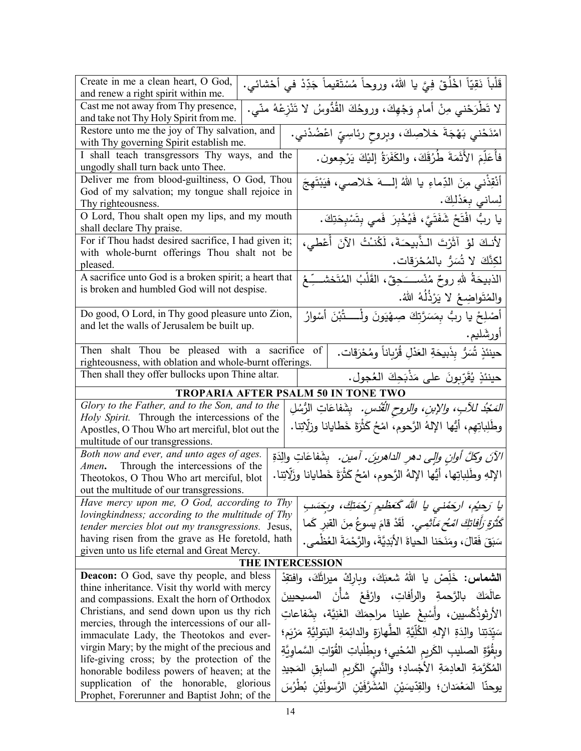| Create in me a clean heart, O God,                                                                                                                     |  | قَلْباً نَقِيّاً اخْلُقْ فِيَّ يا اللهُ، وروحاً مُسْتَقيماً جَدِّدْ في أَحْشائي.       |
|--------------------------------------------------------------------------------------------------------------------------------------------------------|--|----------------------------------------------------------------------------------------|
| and renew a right spirit within me.<br>لا تَطْرَحْني مِنْ أمامٍ وَجْهِكَ، وروحُكَ القُدُوسُ لا تَنْزِعْهُ منّي.<br>Cast me not away from Thy presence, |  |                                                                                        |
| and take not Thy Holy Spirit from me.                                                                                                                  |  |                                                                                        |
| Restore unto me the joy of Thy salvation, and<br>with Thy governing Spirit establish me.                                                               |  | امْنَحْني بَهْجَةَ خلاصِكَ، وبِروحِ رئاسِيِّ اعْضُدْني.                                |
| I shall teach transgressors Thy ways, and the<br>ungodly shall turn back unto Thee.                                                                    |  | فأُعَلِّمَ الأَثَمَةَ طُرُقَكَ، والكَفَرَةُ إليْكَ يَرْجِعون.                          |
| Deliver me from blood-guiltiness, O God, Thou                                                                                                          |  | أَنْقِذْني مِنَ الدِّماءِ يا اللهُ إلــــهَ خَلاصـي، فيَبْتَهِجَ                       |
| God of my salvation; my tongue shall rejoice in                                                                                                        |  |                                                                                        |
| Thy righteousness.                                                                                                                                     |  | لِساني بِعَدْلِكَ.                                                                     |
| O Lord, Thou shalt open my lips, and my mouth                                                                                                          |  | يا ربُّ افْتَحْ شَفَتَيَّ، فَيُخْبِرَ فَمي بِتَسْبِحَتِكَ.                             |
| shall declare Thy praise.                                                                                                                              |  |                                                                                        |
| For if Thou hadst desired sacrifice, I had given it;                                                                                                   |  | لأنكَ لؤ آثَرْتَ الذَّبيحَةَ، لَكُنْتُ الآنَ أُعْطي،                                   |
| with whole-burnt offerings Thou shalt not be                                                                                                           |  | لكِنَّكَ لا تُسَرُّ بالمُحْرَقات.                                                      |
| pleased.                                                                                                                                               |  |                                                                                        |
| A sacrifice unto God is a broken spirit; a heart that                                                                                                  |  | الذبيحَةُ للهِ روحٌ مُنْســَـحِقٌ، القَلْبُ المُتَخشـــِّـعُ                           |
| is broken and humbled God will not despise.                                                                                                            |  | والمُتَواضِعُ لا يَرْذُلُهُ اللهُ.                                                     |
| Do good, O Lord, in Thy good pleasure unto Zion,                                                                                                       |  |                                                                                        |
| and let the walls of Jerusalem be built up.                                                                                                            |  | أَصْلِحْ يا ربُّ بِمَسَرَّتِكَ صِهْيَونَ ولْـــــــتُبْنَ أَسْوارُ                     |
|                                                                                                                                                        |  | أورشَليم.                                                                              |
| Then shalt Thou be pleased with a sacrifice                                                                                                            |  | حينئذٍ تُسَرُّ بِذَبيحَةِ العَدْلِ قُرْباناً ومُحْرَقات.<br>of                         |
| righteousness, with oblation and whole-burnt offerings.                                                                                                |  |                                                                                        |
| حينئذٍ يُقَرِّبونَ على مَذْبَحِكَ العُجول.<br>Then shall they offer bullocks upon Thine altar.                                                         |  |                                                                                        |
| TROPARIA AFTER PSALM 50 IN TONE TWO                                                                                                                    |  |                                                                                        |
|                                                                                                                                                        |  |                                                                                        |
| Glory to the Father, and to the Son, and to the                                                                                                        |  |                                                                                        |
| Holy Spirit. Through the intercessions of the                                                                                                          |  | <i>المَعْبُذ للأبِ، والإبنِ، والروحِ الْقُدُسِ.</i> بِشَفاعَاتِ الْزُسُلِ              |
| Apostles, O Thou Who art merciful, blot out the                                                                                                        |  | وطَلِباتِهِم، أَيُّها الإلهُ الرَّحوم، امْحُ كَثْرَةَ خَطَايانا وزلَّاتِنا.            |
| multitude of our transgressions.                                                                                                                       |  |                                                                                        |
| Both now and ever, and unto ages of ages.                                                                                                              |  | <i>الآنَ وكلَّ أوانٍ وإلى دهرِ الداهرينَ. آمين.</i> بِشَفاعَاتِ والِدَةِ               |
| Amen. Through the intercessions of the                                                                                                                 |  |                                                                                        |
| Theotokos, O Thou Who art merciful, blot<br>out the multitude of our transgressions.                                                                   |  | الإلهِ وطَلِباتِها، أيُّها الإلهُ الرَّحوم، امْحُ كَثْرَةَ خَطَايانا وزَلِّاتِنا.      |
| Have mercy upon me, O God, according to Thy                                                                                                            |  |                                                                                        |
| lovingkindness; according to the multitude of Thy                                                                                                      |  | يا رَحِيُم، اركِمْني يا الله گَعَظْيم رَحْمَتِكَ، وبِحَسَبِ                            |
| tender mercies blot out my transgressions. Jesus,                                                                                                      |  | كَثَّ <i>رَة رَأَفاتِكَ امْحُ مَأَثِمِي.</i> لَقَدْ قامَ يسوعُ مِنَ  القبر  كَما       |
| having risen from the grave as He foretold, hath                                                                                                       |  | سَبَقَ فَقالَ، ومَنَحَنا الحياةَ الأَبَدِيَّةَ، والرَّحْمَةَ العُظْمي.                 |
| given unto us life eternal and Great Mercy.                                                                                                            |  |                                                                                        |
|                                                                                                                                                        |  | THE INTERCESSION                                                                       |
| <b>Deacon:</b> O God, save thy people, and bless                                                                                                       |  | <b>الشماس:</b> خَلِّصْ يا اللهُ شعبَكَ، وباركْ ميراثَكَ، وافتقِدْ                      |
| thine inheritance. Visit thy world with mercy                                                                                                          |  |                                                                                        |
| and compassions. Exalt the horn of Orthodox                                                                                                            |  | عالَمَكَ بالرَّحمةِ والرأفاتِ، وارْفَعْ شأنَ المسيحيينَ                                |
| Christians, and send down upon us thy rich                                                                                                             |  | الأرثوذُكُسيين، وأَسْبغْ علينا مراحِمَكَ الغَنِيَّة، بشَفاعاتِ                         |
| mercies, through the intercessions of our all-                                                                                                         |  |                                                                                        |
| immaculate Lady, the Theotokos and ever-                                                                                                               |  | سَيّدَتِنا والِدَةِ الإِلهِ الكُلِّيَّةِ الطّهارَةِ والدائِمَةِ البَتوليَّةِ مَرْيَمٍ؛ |
| virgin Mary; by the might of the precious and                                                                                                          |  | وبِقُوَّةِ الصليبِ الكَريمِ المُحْييِ؛ وبِطِلْباتِ القُوّاتِ السَّماويَّةِ             |
| life-giving cross; by the protection of the<br>honorable bodiless powers of heaven; at the                                                             |  | المُكَرَّمَةِ العادِمَةِ الأجْسادِ؛ والنَّبيِّ الكَريمِ السابِقِ المَجيدِ              |
| supplication of the honorable, glorious                                                                                                                |  | يوحنّا المَعْمَدان؛ والقِدّيسَيْن المُشَرَّفَيْنِ الرَّسولَيْنِ بُطْرُسَ               |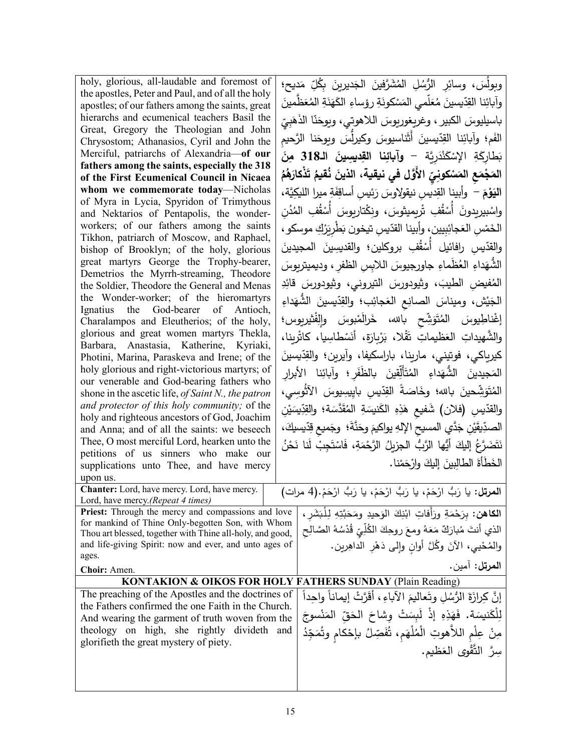| holy, glorious, all-laudable and foremost of<br>the apostles, Peter and Paul, and of all the holy<br>apostles; of our fathers among the saints, great<br>hierarchs and ecumenical teachers Basil the<br>Great, Gregory the Theologian and John<br>Chrysostom; Athanasios, Cyril and John the<br>Merciful, patriarchs of Alexandria-of our<br>fathers among the saints, especially the 318<br>of the First Ecumenical Council in Nicaea<br>whom we commemorate today-Nicholas<br>of Myra in Lycia, Spyridon of Trimythous<br>and Nektarios of Pentapolis, the wonder-<br>workers; of our fathers among the saints<br>Tikhon, patriarch of Moscow, and Raphael,<br>bishop of Brooklyn; of the holy, glorious<br>great martyrs George the Trophy-bearer,<br>Demetrios the Myrrh-streaming, Theodore<br>the Soldier, Theodore the General and Menas<br>the Wonder-worker; of the hieromartyrs<br>Ignatius the God-bearer of Antioch,<br>Charalampos and Eleutherios; of the holy,<br>glorious and great women martyrs Thekla,<br>Barbara, Anastasia, Katherine, Kyriaki,<br>Photini, Marina, Paraskeva and Irene; of the<br>holy glorious and right-victorious martyrs; of<br>our venerable and God-bearing fathers who<br>shone in the ascetic life, of Saint N., the patron<br>and protector of this holy community; of the<br>holy and righteous ancestors of God, Joachim<br>and Anna; and of all the saints: we beseech<br>Thee, O most merciful Lord, hearken unto the<br>petitions of us sinners who make our<br>supplications unto Thee, and have mercy<br>upon us.<br>Chanter: Lord, have mercy. Lord, have mercy.<br>Lord, have mercy.(Repeat 4 times)<br>Priest: Through the mercy and compassions and love<br>for mankind of Thine Only-begotten Son, with Whom | وبولُسَ، وسائِرِ الرُّسُلِ المُشَرَّفينَ الجَديرينَ بِكُلِّ مَديح؛<br>وآبائِنا القِدّيسينَ مُعَلّمى المَسْكونَةِ رؤساءِ الكَهَنَةِ المُعَظّمينَ<br>باسيليوسَ الكبير ، وغريغوريوسَ اللاهوتي، ويوحَنّا الذَهَبِيّ<br>الفَم؛ وآبائِنا القِدّيسينَ أثَناسيوسَ وكيرلِّسَ وبِوحَنا الرَّحيم<br>بَطَارِكَةِ الإِسْكَنْدَرِيَّة – وآبائِنا القِديسِينَ الـ318 مِنَ<br>المَجْمَعِ المَسْكونِيِّ الأَوَّلِ في نيقية، الذينَ نُقيمُ تَذْكارَهُمُ<br>النَّوْمَ –  وأبينا القِديس نيقولِاوسَ رَئِيس أساقِفَةِ ميرا اللَّيكِيَّة،<br>واسْبيربدونَ أسْقُفِ تْربِميثوسَ، ونِكْتاربِوسَ أَسْقُفِ المُدُن<br>الخَمْس العَجائِبِيين، وأَبينا القدّيس تيخون بَطْرِيَرْكِ موسكو ،<br>والقدّيس رافائيل أسْقُفِ بروكلين؛ والقديسِينَ المجيدينَ<br>الشَّهَداءِ العُظُماءِ جاورجيوسَ اللابِسِ الظفرِ ، وديميتريوسَ<br>المُفيضِ الطيبَ، وثيودورسَ التيروني، وثيودورسَ قائِدِ<br>الْجَيْش، وميناسَ الصانِعِ الْعَجائِب؛ والقِدّيسينَ الشَّهَداءِ<br>إغْناطِيوسَ المُتَوَشِّح بالله، خَرالَمْبوسَ وإلْفْثيربوس؛<br>والشَّهيداتِ العَظيماتِ تَقْلا، بَرْبِارَة، أَنَسْطَاسِيا، كاثْرِينا،<br>المَجيدينَ الشُّهَداءِ المُتَأَلِّقِينَ بالظَّفَرِ؛ وآبائِنا الأبرارِ<br>المُتَوَشِّحينَ بالله؛ وخَاصَةً القِدِّيسِ بايِيسِيوسَ الآثُوسِي،<br>والقدّيسِ (فلان) شَفيعٍ هَذِهِ الكَنيسَةِ المُقَدَّسَة؛ والقِدِّيسَيْنِ<br>الصدِّيقَيْنِ جَدَّي المسيح الإلهِ يواكيمَ وحَذَّةَ؛  وجَميع قِدّيسيكَ،<br>نَتَضَرَّعُ إِلَيْكَ أَيُّها الرَّبُّ الجزيلُ الرَّحْمَةِ، فَاسْتَجِبْ لَنا نَحْنُ |
|-------------------------------------------------------------------------------------------------------------------------------------------------------------------------------------------------------------------------------------------------------------------------------------------------------------------------------------------------------------------------------------------------------------------------------------------------------------------------------------------------------------------------------------------------------------------------------------------------------------------------------------------------------------------------------------------------------------------------------------------------------------------------------------------------------------------------------------------------------------------------------------------------------------------------------------------------------------------------------------------------------------------------------------------------------------------------------------------------------------------------------------------------------------------------------------------------------------------------------------------------------------------------------------------------------------------------------------------------------------------------------------------------------------------------------------------------------------------------------------------------------------------------------------------------------------------------------------------------------------------------------------------------------------------------------------------------------------------------------------------------------------------------|--------------------------------------------------------------------------------------------------------------------------------------------------------------------------------------------------------------------------------------------------------------------------------------------------------------------------------------------------------------------------------------------------------------------------------------------------------------------------------------------------------------------------------------------------------------------------------------------------------------------------------------------------------------------------------------------------------------------------------------------------------------------------------------------------------------------------------------------------------------------------------------------------------------------------------------------------------------------------------------------------------------------------------------------------------------------------------------------------------------------------------------------------------------------------------------------------------------------------------------------------------------------------------------------------------------------------------------------------------------------------------------------------------------------------------------------------------|
|                                                                                                                                                                                                                                                                                                                                                                                                                                                                                                                                                                                                                                                                                                                                                                                                                                                                                                                                                                                                                                                                                                                                                                                                                                                                                                                                                                                                                                                                                                                                                                                                                                                                                                                                                                         | كيرياكي، فوتيني، مارينا، باراسكيفا، وأيرين؛ والقِدّيسينَ                                                                                                                                                                                                                                                                                                                                                                                                                                                                                                                                                                                                                                                                                                                                                                                                                                                                                                                                                                                                                                                                                                                                                                                                                                                                                                                                                                                               |
|                                                                                                                                                                                                                                                                                                                                                                                                                                                                                                                                                                                                                                                                                                                                                                                                                                                                                                                                                                                                                                                                                                                                                                                                                                                                                                                                                                                                                                                                                                                                                                                                                                                                                                                                                                         |                                                                                                                                                                                                                                                                                                                                                                                                                                                                                                                                                                                                                                                                                                                                                                                                                                                                                                                                                                                                                                                                                                                                                                                                                                                                                                                                                                                                                                                        |
|                                                                                                                                                                                                                                                                                                                                                                                                                                                                                                                                                                                                                                                                                                                                                                                                                                                                                                                                                                                                                                                                                                                                                                                                                                                                                                                                                                                                                                                                                                                                                                                                                                                                                                                                                                         |                                                                                                                                                                                                                                                                                                                                                                                                                                                                                                                                                                                                                                                                                                                                                                                                                                                                                                                                                                                                                                                                                                                                                                                                                                                                                                                                                                                                                                                        |
|                                                                                                                                                                                                                                                                                                                                                                                                                                                                                                                                                                                                                                                                                                                                                                                                                                                                                                                                                                                                                                                                                                                                                                                                                                                                                                                                                                                                                                                                                                                                                                                                                                                                                                                                                                         | الخَطَأَةَ الطالِبينَ إِليكَ وارْحَمْنا.                                                                                                                                                                                                                                                                                                                                                                                                                                                                                                                                                                                                                                                                                                                                                                                                                                                                                                                                                                                                                                                                                                                                                                                                                                                                                                                                                                                                               |
|                                                                                                                                                                                                                                                                                                                                                                                                                                                                                                                                                                                                                                                                                                                                                                                                                                                                                                                                                                                                                                                                                                                                                                                                                                                                                                                                                                                                                                                                                                                                                                                                                                                                                                                                                                         | المرتل: يا رَبُّ ارْحَمْ، يا رَبُّ ارْحَمْ، يا رَبُّ ارْحَمْ.(4 مرات)                                                                                                                                                                                                                                                                                                                                                                                                                                                                                                                                                                                                                                                                                                                                                                                                                                                                                                                                                                                                                                                                                                                                                                                                                                                                                                                                                                                  |
| Thou art blessed, together with Thine all-holy, and good,<br>and life-giving Spirit: now and ever, and unto ages of<br>ages.<br>Choir: Amen.                                                                                                                                                                                                                                                                                                                                                                                                                                                                                                                                                                                                                                                                                                                                                                                                                                                                                                                                                                                                                                                                                                                                                                                                                                                                                                                                                                                                                                                                                                                                                                                                                            | ا <b>لكاهن:</b> بِرَحْمَةِ ورَأفاتِ ابْنِكَ الوَحيدِ ومَحَبَّتِهِ لِلْبَشَرِ ،<br>الذي أنتَ مُبارَكٌ مَعَهُ ومعَ روحِكَ الكُلِّيِّ قُدْسُهُ الصَّالِحِ<br>والمُحْيي، الآنَ وكُلَّ أُوانِ وإِلَى دَهْرِ الداهِرينِ.<br>ا <b>لمرتل:</b> آمين.                                                                                                                                                                                                                                                                                                                                                                                                                                                                                                                                                                                                                                                                                                                                                                                                                                                                                                                                                                                                                                                                                                                                                                                                            |
|                                                                                                                                                                                                                                                                                                                                                                                                                                                                                                                                                                                                                                                                                                                                                                                                                                                                                                                                                                                                                                                                                                                                                                                                                                                                                                                                                                                                                                                                                                                                                                                                                                                                                                                                                                         | <b>KONTAKION &amp; OIKOS FOR HOLY FATHERS SUNDAY (Plain Reading)</b>                                                                                                                                                                                                                                                                                                                                                                                                                                                                                                                                                                                                                                                                                                                                                                                                                                                                                                                                                                                                                                                                                                                                                                                                                                                                                                                                                                                   |
| The preaching of the Apostles and the doctrines of                                                                                                                                                                                                                                                                                                                                                                                                                                                                                                                                                                                                                                                                                                                                                                                                                                                                                                                                                                                                                                                                                                                                                                                                                                                                                                                                                                                                                                                                                                                                                                                                                                                                                                                      | إِنَّ كِرازَةَ الرُّسُلِ وتَعاليمَ الآباءِ ، أَقَرَّتْ إيماناً واحِداً                                                                                                                                                                                                                                                                                                                                                                                                                                                                                                                                                                                                                                                                                                                                                                                                                                                                                                                                                                                                                                                                                                                                                                                                                                                                                                                                                                                 |
| the Fathers confirmed the one Faith in the Church.<br>And wearing the garment of truth woven from the                                                                                                                                                                                                                                                                                                                                                                                                                                                                                                                                                                                                                                                                                                                                                                                                                                                                                                                                                                                                                                                                                                                                                                                                                                                                                                                                                                                                                                                                                                                                                                                                                                                                   | لِلْكَنيسَة. فَهَذِهِ إِذْ لَبِسَتْ وشاحَ الحَقّ المَنْسوجَ                                                                                                                                                                                                                                                                                                                                                                                                                                                                                                                                                                                                                                                                                                                                                                                                                                                                                                                                                                                                                                                                                                                                                                                                                                                                                                                                                                                            |
| theology on high, she rightly divideth and                                                                                                                                                                                                                                                                                                                                                                                                                                                                                                                                                                                                                                                                                                                                                                                                                                                                                                                                                                                                                                                                                                                                                                                                                                                                                                                                                                                                                                                                                                                                                                                                                                                                                                                              | مِنْ عِلْمِ اللاَّهوتِ الْمُلْهَمِ، ثُفَصِّلُ بإحْكامٍ وثُمَجِّدُ                                                                                                                                                                                                                                                                                                                                                                                                                                                                                                                                                                                                                                                                                                                                                                                                                                                                                                                                                                                                                                                                                                                                                                                                                                                                                                                                                                                      |
| glorifieth the great mystery of piety.                                                                                                                                                                                                                                                                                                                                                                                                                                                                                                                                                                                                                                                                                                                                                                                                                                                                                                                                                                                                                                                                                                                                                                                                                                                                                                                                                                                                                                                                                                                                                                                                                                                                                                                                  | سِرَّ التَّقْوِي العَظيم.                                                                                                                                                                                                                                                                                                                                                                                                                                                                                                                                                                                                                                                                                                                                                                                                                                                                                                                                                                                                                                                                                                                                                                                                                                                                                                                                                                                                                              |
|                                                                                                                                                                                                                                                                                                                                                                                                                                                                                                                                                                                                                                                                                                                                                                                                                                                                                                                                                                                                                                                                                                                                                                                                                                                                                                                                                                                                                                                                                                                                                                                                                                                                                                                                                                         |                                                                                                                                                                                                                                                                                                                                                                                                                                                                                                                                                                                                                                                                                                                                                                                                                                                                                                                                                                                                                                                                                                                                                                                                                                                                                                                                                                                                                                                        |
|                                                                                                                                                                                                                                                                                                                                                                                                                                                                                                                                                                                                                                                                                                                                                                                                                                                                                                                                                                                                                                                                                                                                                                                                                                                                                                                                                                                                                                                                                                                                                                                                                                                                                                                                                                         |                                                                                                                                                                                                                                                                                                                                                                                                                                                                                                                                                                                                                                                                                                                                                                                                                                                                                                                                                                                                                                                                                                                                                                                                                                                                                                                                                                                                                                                        |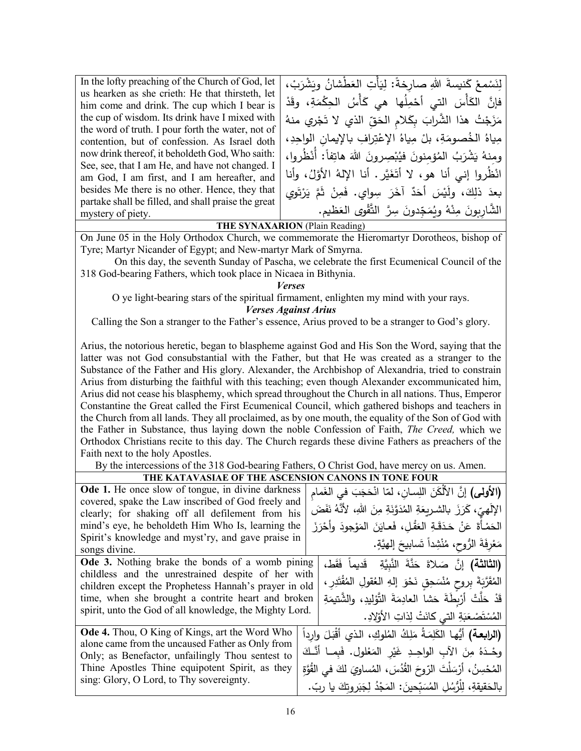| In the lofty preaching of the Church of God, let    | لِنَسْمعْ كَنيسةَ اللهِ صارِخةً: لِيَأْتِ العَطْشانُ وبَشْرَبْ،            |
|-----------------------------------------------------|----------------------------------------------------------------------------|
| us hearken as she crieth: He that thirsteth, let    |                                                                            |
| him come and drink. The cup which I bear is         | فإنَّ الكَأْسَ التي أَحْمِلُها هي كَأْسُ الحِكْمَةِ، وقَدْ                 |
| the cup of wisdom. Its drink have I mixed with      | مَزَجْتُ هذا الشَّرابَ بِكَلامِ الحَقِّ الذي لا تَجْرِي منهُ               |
| the word of truth. I pour forth the water, not of   |                                                                            |
| contention, but of confession. As Israel doth       | مِياهُ الخُصومَةِ، بلْ مِياهُ الإعْتِرافِ بالإيمانِ الواحِدِ،              |
| now drink thereof, it beholdeth God, Who saith:     | ومِنهُ يَشْرَبُ الْمُؤْمِنُونَ فَيُبْصِرُونَ اللَّهَ هَاتِفاً: أَنْظُرُوا، |
| See, see, that I am He, and have not changed. I     |                                                                            |
| am God, I am first, and I am hereafter, and         | انْظُروا إني أنا هو، لا أتَغَيَّر. أنا الإلهُ الأوَّلُ، وأنا               |
| besides Me there is no other. Hence, they that      | بعدَ ذلِكَ، ولَيْسَ أَحَدٌ آخَرَ سِواي. فَمِنْ ثَمَّ يَرْتَوِي             |
| partake shall be filled, and shall praise the great |                                                                            |
| mystery of piety.                                   | الشَّارِيونَ مِنْهُ وِيُمَجِّدونَ سِرَّ التَّقْوِي العَظيمِ.               |
|                                                     | $\mathbf{m}$                                                               |

**THE SYNAXARION** (Plain Reading)

On June 05 in the Holy Orthodox Church, we commemorate the Hieromartyr Dorotheos, bishop of Tyre; Martyr Nicander of Egypt; and New-martyr Mark of Smyrna.

On this day, the seventh Sunday of Pascha, we celebrate the first Ecumenical Council of the 318 God-bearing Fathers, which took place in Nicaea in Bithynia.

*Verses*

O ye light-bearing stars of the spiritual firmament, enlighten my mind with your rays.

*Verses Against Arius*

Calling the Son a stranger to the Father's essence, Arius proved to be a stranger to God's glory.

Arius, the notorious heretic, began to blaspheme against God and His Son the Word, saying that the latter was not God consubstantial with the Father, but that He was created as a stranger to the Substance of the Father and His glory. Alexander, the Archbishop of Alexandria, tried to constrain Arius from disturbing the faithful with this teaching; even though Alexander excommunicated him, Arius did not cease his blasphemy, which spread throughout the Church in all nations. Thus, Emperor Constantine the Great called the First Ecumenical Council, which gathered bishops and teachers in the Church from all lands. They all proclaimed, as by one mouth, the equality of the Son of God with the Father in Substance, thus laying down the noble Confession of Faith, *The Creed,* which we Orthodox Christians recite to this day. The Church regards these divine Fathers as preachers of the Faith next to the holy Apostles.

By the intercessions of the 318 God-bearing Fathers, O Christ God, have mercy on us. Amen.

| THE KATAVASIAE OF THE ASCENSION CANONS IN TONE FOUR     |                                                                                |
|---------------------------------------------------------|--------------------------------------------------------------------------------|
| Ode 1. He once slow of tongue, in divine darkness       | (الأولى) إنَّ الأَلْكَنَ اللِّسانِ، لمّا انْحَجَبَ في الغَمام                  |
| covered, spake the Law inscribed of God freely and      | الإَلَهِيِّ، كَرَزَ بِالشَّرِيِعَةِ الْمُدَوَّنَةِ مِنَ اللهِ، لأَنَّهُ نَفَضَ |
| clearly; for shaking off all defilement from his        |                                                                                |
| mind's eye, he beholdeth Him Who Is, learning the       | الْحَمْـأَةَ عَنْ حَدَقَـةِ الْعَقْلِ، فَعايَنَ المَوْجودَ وأَحْرَزَ           |
| Spirit's knowledge and myst'ry, and gave praise in      |                                                                                |
| songs divine.                                           | مَعْرِفَةَ الرُّوحِ، مُنْشِداً تَسابيحَ إلهيَّةٍ.                              |
| Ode 3. Nothing brake the bonds of a womb pining         | (ا <b>لثَالثَة)</b> إِنَّ صَلاةَ حَنَّةَ النَّبِيَّةِ ۖ قَديماً فَقَط،         |
| childless and the unrestrained despite of her with      |                                                                                |
| children except the Prophetess Hannah's prayer in old   | المُقَرَّبَةَ بِروحٍ مُنْسَحِقٍ نَحْوَ إِلهِ العُقولِ المُقْتَدِرِ ،           |
| time, when she brought a contrite heart and broken      | قَدْ حَلَّتْ أَرْبِطَةَ حَشا العادِمَةَ التَّوْلِيدِ، والشَّتيمَةِ             |
| spirit, unto the God of all knowledge, the Mighty Lord. | المُسْتَصْعَبَةِ التي كانَتْ لِذاتِ الأَوْلِادِ.                               |
| <b>Ode 4.</b> Thou, O King of Kings, art the Word Who   | (ا <b>لرابعـة)</b> أيُّهـا الكَلِمَـةُ مَلِكُ المُلوكِ، الذي أَقْبَلَ وارداً   |
| alone came from the uncaused Father as Only from        | وحْدَهُ مِنَ الآبِ الواحِـدِ غَيْرِ المَعْلولِ. فَبِمـا أَنَّـكَ               |
| Only; as Benefactor, unfailingly Thou sentest to        |                                                                                |
| Thine Apostles Thine equipotent Spirit, as they         | المُحْسِنُ، أَرْسَلْتَ الرّوحَ القُدُسَ، المُساوِيَ لكَ في القُوَّةِ           |
| sing: Glory, O Lord, to Thy sovereignty.                | بالحَقيقةِ، لِلْرُّسُلِ المُسَبِّحينَ: المَجْدُ لِجَبَروتِكَ يا ربّ.           |
|                                                         |                                                                                |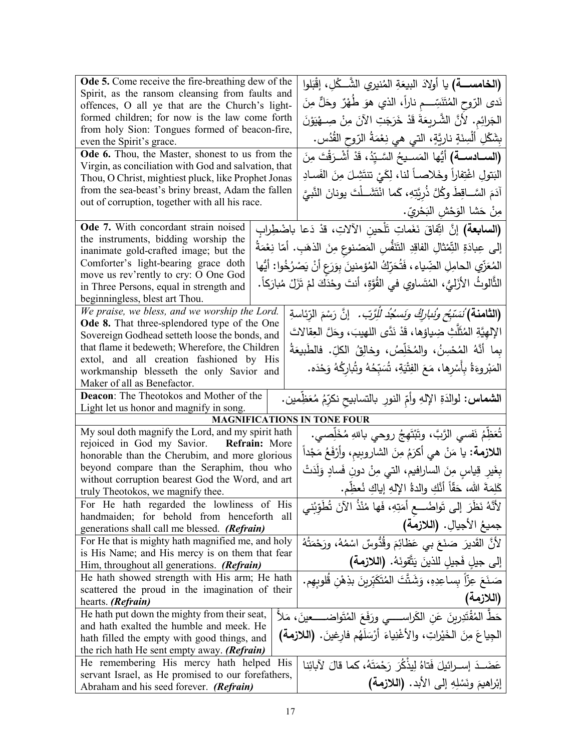| <b>Ode 5.</b> Come receive the fire-breathing dew of the                                                | (ا <b>لخامســــة)</b> يا أولادَ البيعَةِ المُنيري الشَّـــكُلِ، إقْبَلوا                     |
|---------------------------------------------------------------------------------------------------------|----------------------------------------------------------------------------------------------|
| Spirit, as the ransom cleansing from faults and<br>offences, O all ye that are the Church's light-      | نَدى الرّوح المُتَنَسِّـــم ناراً، الذي هوَ طَهْرٌ وحَلٌّ مِنَ                               |
| formed children; for now is the law come forth                                                          | الجَرائِم. لأَنَّ الشَّـرِيعَةَ قَدْ خَرَجَتِ الآنَ مِنْ صِــهْيَوْنَ                        |
| from holy Sion: Tongues formed of beacon-fire,                                                          | بِشَكْلِ أَلْسِنَةٍ نارِيَّةٍ، التي هي نِعْمَةُ الرّوحِ القُدُسِ.                            |
| even the Spirit's grace.                                                                                |                                                                                              |
| Ode 6. Thou, the Master, shonest to us from the<br>Virgin, as conciliation with God and salvation, that | (الســادســـة) أَيُّها المَســيحُ السَّـيّدُ، قَدْ أَشْـرَقْتَ مِنَ                          |
| Thou, O Christ, mightiest pluck, like Prophet Jonas                                                     | البَتولِ اغْتِفاراً وخَلاصــاً لنـا، لِكَـيْ تتتَشِـلَ مِنَ الفَسـادِ                        |
| from the sea-beast's briny breast, Adam the fallen                                                      | آدَمَ السَّــاقِطَ وكُلَّ ذُرِيَّتِهِ، كَما انْتَشَــلْتَ يونانَ النَّبيَّ                   |
| out of corruption, together with all his race.                                                          | مِنْ حَشا الوَحْشِ الْبَحْرِيِّ.                                                             |
| Ode 7. With concordant strain noised                                                                    | <b>(السابعة)</b> إنَّ اتِّفاقَ نَغَماتِ تَلْحين الآلاتِ، قدْ دَعا باضْطِرابِ                 |
| the instruments, bidding worship the                                                                    |                                                                                              |
| inanimate gold-crafted image; but the                                                                   | إلى عِبادَةِ النِّمْثالِ الفاقِدِ التَّنَفُّسِ المَصْنوعِ مِنَ الذهَبِ. أمّا نِعْمَةُ        |
| Comforter's light-bearing grace doth<br>move us rev'rently to cry: O One God                            | المُعَزِّي الحامِلِ الضِّياء ، فَتُحَرِّكُ المُؤمنينَ بِوَرَعِ أَنْ يَصْرُخُوا: أَيُّها      |
| in Three Persons, equal in strength and                                                                 | الثَّالوثُ الأزَليُّ، المُتَساوي في القُوَّةِ، أنتَ وحْدَكَ لمْ تَزَلْ مُبارَكاً.            |
| beginningless, blest art Thou.                                                                          |                                                                                              |
| We praise, we bless, and we worship the Lord.                                                           | (ا <b>لثامنة)</b> نُسَبَّ <i>ح ونُنارِكُ ونَسكُدُ لِلِّرَّبِّ.</i> ۚ إِنَّ رَسْمَ الرِّئاسةِ |
| Ode 8. That three-splendored type of the One                                                            | الإِلهِيَّةِ المُثَلِّثِ ضِياؤها، قَدْ نَدَّى اللهيبَ، وحَلَّ العِقالاتَ                     |
| Sovereign Godhead setteth loose the bonds, and<br>that flame it bedeweth; Wherefore, the Children       |                                                                                              |
| extol, and all creation fashioned by His                                                                | بِما أَنَّهُ المُحْسِنُ، والمُخَلِّصُ، وخالِقُ الكلِّ. فالطَّبيعَةُ                          |
| workmanship blesseth the only Savior and                                                                | المَبْروءَةُ بِأَسْرِها، مَعَ الفِتْيَةِ، تُسَبِّحُهُ وتُبارِكُهُ وَحْدَه.                   |
| Maker of all as Benefactor.                                                                             |                                                                                              |
| Deacon: The Theotokos and Mother of the                                                                 | ا <b>لشماس:</b> لوالدَةِ الإلهِ وأمِّ النورِ بالتسابيح نكرِّمُ مُعَظِّمين.                   |
| Light let us honor and magnify in song.                                                                 |                                                                                              |
| <b>MAGNIFICATIONS IN TONE FOUR</b>                                                                      |                                                                                              |
| My soul doth magnify the Lord, and my spirit hath<br>rejoiced in God my Savior. Refrain: More           | تُعَظِّمُ نَفسى الرَّبَّ، وتَبْتَهِجُ روحي باللهِ مُخَلِّصى.                                 |
| honorable than the Cherubim, and more glorious                                                          | ا <b>للازمة:</b> يا مَنْ هي أكرَمُ مِنَ الشاروبِيم، وأَرْفَعُ مَجْداً                        |
| beyond compare than the Seraphim, thou who                                                              | بِغَيرِ قِياسٍ مِنَ الساراِفيمِ، التي مِنْ دونِ فَسادٍ وَلَدَتْ                              |
| without corruption bearest God the Word, and art<br>truly Theotokos, we magnify thee.                   | كَلِمَةَ الله، حَقًّا أَنَّكِ والدةُ اﻹلهِ إياكِ نُعظِّم.                                    |
| For He hath regarded the lowliness of His                                                               | لأَنَّهُ نَظَرَ إلى تَواضُـــع أَمَتِهِ، فَها مُنْذُ الآنَ تُطَوِّنُني                       |
| handmaiden; for behold from henceforth all<br>generations shall call me blessed. (Refrain)              | جميعُ الأجيالِ. (اللازمة)                                                                    |
| For He that is mighty hath magnified me, and holy                                                       | لأَنَّ القَديرَ صَنَعَ بِي عَظَائِمَ وِقُدُّوسٌ اسْمُهُ، ورَحْمَتُهُ                         |
| is His Name; and His mercy is on them that fear                                                         |                                                                                              |
| Him, throughout all generations. (Refrain)                                                              | إلى جيلٍ فَجيلٍ للذينَ يَتَّقونَهُ. (اللازمة)                                                |
| He hath showed strength with His arm; He hath<br>scattered the proud in the imagination of their        | صَنَعَ عِزّاً بِساعِدِهِ، وَشَتَّتَ المُتَكَبّرِينَ بِذِهْنِ قُلوبِهِم.                      |
| hearts. ( <i>Refrain</i> )                                                                              | (اللازمة)                                                                                    |
| He hath put down the mighty from their seat,                                                            | حَطَّ المُقْتَدِرِينَ عَن الكَراســـــي ورَفَعَ المُتَواضــــــعينَ، مَلأَ                   |
| and hath exalted the humble and meek. He                                                                |                                                                                              |
| hath filled the empty with good things, and<br>the rich hath He sent empty away. (Refrain)              | الجِياعَ مِنَ الخَيْراتِ، والأغْنِياءَ أَرْسَلَهُم فارغينَ. (اللازمة)                        |
| He remembering His mercy hath helped His                                                                | عَضَـدَ اِســرائيلَ فَتاهُ لِيذْكُرَ رَحْمَتَهُ، كما قالَ لآبائِنا                           |
| servant Israel, as He promised to our forefathers,                                                      |                                                                                              |
| Abraham and his seed forever. (Refrain)                                                                 | إبْراهيمَ ونَسْلِهِ إلى الأبد. (اللازمة)                                                     |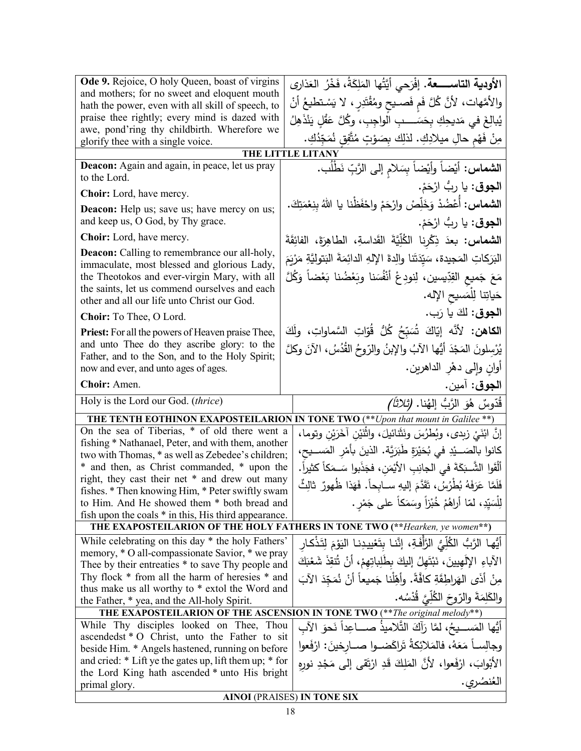| Ode 9. Rejoice, O holy Queen, boast of virgins                                                          | الأودية التاســــــعة. إفْرَحي أيَّتُها المَلِكَةُ، فَخْرُ العَذارى               |  |
|---------------------------------------------------------------------------------------------------------|-----------------------------------------------------------------------------------|--|
| and mothers; for no sweet and eloquent mouth                                                            | والأمَّهات، لأنَّ كُلَّ فَم فَصـيح ومُقْتَدِرٍ ، لا يَسْتطيعُ أنْ                 |  |
| hath the power, even with all skill of speech, to                                                       |                                                                                   |  |
| praise thee rightly; every mind is dazed with<br>awe, pond'ring thy childbirth. Wherefore we            | يُبالِغَ في مَديحِكِ بِحَسَــــبِ الواجِبِ، وكُلَّ عَقْلٍ يَنْذَهِلُ              |  |
| glorify thee with a single voice.                                                                       | مِنْ فَهْمِ حالِ ميلادِكِ. لذلِك بِصَوْتٍ مُتَّفِقٍ نُمَجِّدُكِ.                  |  |
|                                                                                                         | THE LITTLE LITANY                                                                 |  |
| Deacon: Again and again, in peace, let us pray<br>to the Lord.                                          | ال <b>شماس:</b> أيْضاً وأيْضاً بِسَلام إلى الرَّبِّ نَطْلُب.                      |  |
| Choir: Lord, have mercy.                                                                                | ا <b>لجوق</b> : يا ربُّ ارْحَمْ.                                                  |  |
| <b>Deacon:</b> Help us; save us; have mercy on us;                                                      | ا <b>لشماس:</b> أَعْضُدْ وَخَلِّصْ وارْحَمْ واحْفَظْنا يا اللهُ بِنِعْمَتِكَ.     |  |
| and keep us, O God, by Thy grace.                                                                       | ا <b>لجوق</b> : يا ربُّ ارْحَمْ.                                                  |  |
| Choir: Lord, have mercy.                                                                                | ا <b>لشماس:</b> بعدَ ذِكْرِنا الكُلِّيَّةَ القَداسةِ، الطاهِرَةَ، الفائِقَةَ      |  |
| <b>Deacon:</b> Calling to remembrance our all-holy,<br>immaculate, most blessed and glorious Lady,      | البَرَكاتِ المَجيدة، سَيِّدَتَنا والِدةَ الإِلهِ الدائِمَةَ البَتوليَّةِ مَرْيَمَ |  |
| the Theotokos and ever-virgin Mary, with all                                                            | مَعَ جَميع القِدِّيسين، لِنودِعْ أَنْفُسَنا وبَعْضُنا بَعْضاً وَكُلَّ             |  |
| the saints, let us commend ourselves and each<br>other and all our life unto Christ our God.            | حَياتِنا لِلْمَسيحِ الإِله.                                                       |  |
| Choir: To Thee, O Lord.                                                                                 | ا <b>لجوق:</b> لكَ يا رَب.                                                        |  |
| <b>Priest:</b> For all the powers of Heaven praise Thee,                                                | ا <b>لكاهن:</b> لأنَّه إيّاكَ شُبَبِّحُ كُلُّ قُوّاتِ السَّماواتِ، ولَكَ          |  |
| and unto Thee do they ascribe glory: to the                                                             | يُرْسلونَ المَجْدَ أَيُّها الآبُ والإِبنُ والرّوحُ القُدُسُ، الآنَ وكلَّ          |  |
| Father, and to the Son, and to the Holy Spirit;                                                         |                                                                                   |  |
| now and ever, and unto ages of ages.                                                                    | أوانٍ وإلى دهْرِ الداهرين.                                                        |  |
| Choir: Amen.                                                                                            | ا <b>لجوق</b> : آمين.                                                             |  |
| Holy is the Lord our God. (thrice)                                                                      | قَدّوسٌ هُوَ الرَّبُّ إلهُنا. <i>(ثلاثاً)</i>                                     |  |
|                                                                                                         | THE TENTH EOTHINON EXAPOSTEILARION IN TONE TWO (**Vpon that mount in Galilee **)  |  |
| On the sea of Tiberias, * of old there went a                                                           | إِنَّ ابْنَيْ زِبِدِي، وَبُطْرُسَ ونَثَّنائيلَ، واثْنَيْنِ آخَرَيْنِ وتوماً،      |  |
| fishing * Nathanael, Peter, and with them, another<br>two with Thomas, * as well as Zebedee's children; | كانوا بالصَــــيْدِ في بُحَيْرَةٍ طَبَرَيَّة. الذينَ بأمْرِ  المَســـيح،          |  |
| * and then, as Christ commanded, * upon the                                                             | أَلْقَوا الشَّـبَكَةَ فـى الجانِبِ الأَيْمَنِ، فجَذَبوا سَــمَكاً كثيراً.         |  |
| right, they cast their net * and drew out many                                                          | فَلَمَّا عَرَفَهُ بُطِّرُسُ، تَقَدَّمَ إليهِ ســابحاً. فَهَذا ظُهورٌ ثالِثٌ       |  |
| fishes. * Then knowing Him, * Peter swiftly swam<br>to Him. And He showed them * both bread and         |                                                                                   |  |
| fish upon the coals * in this, His third appearance.                                                    | لِلْسَيِّدِ، لَمَّا أَراهُمْ خُبْزاً وسَمَكاً على جَمْرٍ .                        |  |
| THE EXAPOSTEILARION OF THE HOLY FATHERS IN TONE TWO (** Hearken, ye women**)                            |                                                                                   |  |
|                                                                                                         |                                                                                   |  |
| While celebrating on this day * the holy Fathers'                                                       |                                                                                   |  |
| memory, * O all-compassionate Savior, * we pray                                                         | أَيُّها الرَّبُّ الكُلِّيُّ الرَّأْفَةِ، إنَّنا بتَعْييدِنا اليَوْمَ لِتَذْكارِ   |  |
| Thee by their entreaties * to save Thy people and                                                       | الآباءِ الإلَهيينَ، نَبْتَهِلُ إِليكَ بِطَلِبِاتِهِمْ، أَنْ تُنقِذَ شَعْبَكَ      |  |
| Thy flock * from all the harm of heresies * and                                                         | مِنْ أَذَى الهَراطِقَةِ كافَّةً. وأَهِّلْنا جَميعاً أَنْ نُمَجِّدَ الآبَ          |  |
| thus make us all worthy to * extol the Word and<br>the Father, * yea, and the All-holy Spirit.          | والكَلِمَةَ والرّوحَ الكُلِّيَّ قُدْسُه.                                          |  |
|                                                                                                         | THE EXAPOSTEILARION OF THE ASCENSION IN TONE TWO (**The original melody**)        |  |
| While Thy disciples looked on Thee, Thou                                                                | أَيُّها المَســـيحُ، لمَّا رَأَكَ النَّلاميذَ صــــاعِداً نَحوَ الآب              |  |
| ascendedst * O Christ, unto the Father to sit                                                           |                                                                                   |  |
| beside Him. * Angels hastened, running on before                                                        | وجالِســاً مَعَهُ، فالمَلائِكةُ تَراكَضــوا صــارِخينَ: ارْفَعوا                  |  |
| and cried: * Lift ye the gates up, lift them up; * for                                                  | الأَبْوابَ، ارْفَعوا، لأَنَّ المَلِكَ قَدِ ارْتَقى إِلَى مَجْدِ نورِهِ            |  |
| the Lord King hath ascended * unto His bright<br>primal glory.                                          | العُنصُري.<br><b>AINOI (PRAISES) IN TONE SIX</b>                                  |  |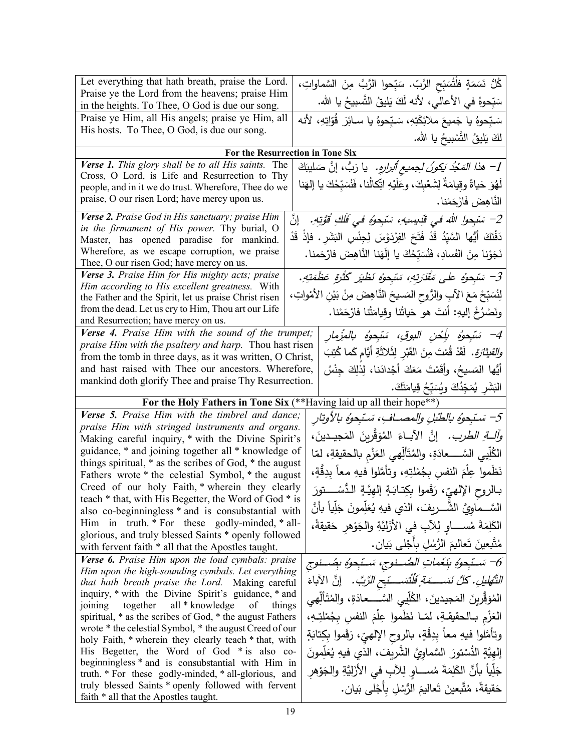| Let everything that hath breath, praise the Lord.                                                                   |                                                                                    |
|---------------------------------------------------------------------------------------------------------------------|------------------------------------------------------------------------------------|
| Praise ye the Lord from the heavens; praise Him                                                                     | ݣُلُّ نَسَمَةٍ فلْتُسَبِّحِ الرَّبِّ. سَبِّحوا الرَّبَّ مِنَ السَّماواتِ،          |
| in the heights. To Thee, O God is due our song.                                                                     | سَبِّحوهُ في الأعالي، لأنه لَكَ يَليقُ النَّسبيحُ يا الله.                         |
| Praise ye Him, all His angels; praise ye Him, all                                                                   | سَبّحوهُ يا جَميعَ ملائِكَتِهِ، سَبّحوهُ يا سـائِرَ  قُوّاتِهِ، لأنه               |
| His hosts. To Thee, O God, is due our song.                                                                         | لكَ يَليقُ التَّسْبِيحُ يا الله.                                                   |
|                                                                                                                     | For the Resurrection in Tone Six                                                   |
| Verse 1. This glory shall be to all His saints. The                                                                 | 1– هذ <i>ا المَجْد بَكونُ لِجميع أُبرارِهِ.</i> يا رَبُّ، إنَّ صَليبَكَ            |
| Cross, O Lord, is Life and Resurrection to Thy                                                                      |                                                                                    |
| people, and in it we do trust. Wherefore, Thee do we                                                                | لَهُوَ حَياةٌ وقِيامَةٌ لِشَعْبِكَ، وعَلَيْهِ اتِّكالُنا، فَنُسَبِّحُكَ يا إلهَنا  |
| praise, O our risen Lord; have mercy upon us.                                                                       | النَّاهِضَ فَارْحَمْنا.                                                            |
| Verse 2. Praise God in His sanctuary; praise Him                                                                    | 2– سَبْحوا اللهَ في قَدِيسِيهِ، سَبْحوهُ في فَلَكِ قُوَّتِهِ. [نَّ                 |
| in the firmament of His power. Thy burial, O                                                                        | دَفْنَكَ أَيُّها السَّيِّدُ قَدْ فَتَحَ الفِرْدَوْسَ لِجِنْسِ البَشَرِ . فإذْ قَدْ |
| Master, has opened paradise for mankind.                                                                            |                                                                                    |
| Wherefore, as we escape corruption, we praise<br>Thee, O our risen God; have mercy on us.                           | نَجَوْنا مِنَ الفَسادِ، فَنُسَبِّحُكَ يا إِلَهَنا النَّاهِضَ فارْحَمنا.            |
| Verse 3. Praise Him for His mighty acts; praise                                                                     | 3– سَبْحوُه على مَقْدَرتِهِ، سَبْحوُه نَظْيَر كُثْرَةٍ عَظَمَتِهِ.                 |
| Him according to His excellent greatness. With                                                                      |                                                                                    |
| the Father and the Spirit, let us praise Christ risen                                                               | لِنُسَبِّحْ مَعَ الآبِ والرُّوحِ المَسيحَ النَّاهِضَ مِنْ بَيْنِ الأَمْواتِ،       |
| from the dead. Let us cry to Him, Thou art our Life                                                                 | ونَصْرُخْ إليهِ: أنتَ هو حَياتُنا وقِيامَتُنا فارْحَمْنا.                          |
| and Resurrection; have mercy on us.                                                                                 |                                                                                    |
| Verse 4. Praise Him with the sound of the trumpet;<br><i>praise Him with the psaltery and harp.</i> Thou hast risen | 4– سَبْحِوُهِ بِلَِحْنِ البوقِ، سَبْحِوُهِ بِالمُزْمِارِ                           |
| from the tomb in three days, as it was written, O Christ,                                                           | <i>والقيثارة.</i> لَقَدْ قُمْتَ مِنَ القَبْرِ لِثَلاثَةِ أيَّامِ كَما كُتِبَ       |
| and hast raised with Thee our ancestors. Wherefore,                                                                 | أَيُّها المَسيحُ، وأقَمْتَ مَعَكَ أَجْدادَنا، لِذلِكَ جِنْسُ                       |
| mankind doth glorify Thee and praise Thy Resurrection.                                                              |                                                                                    |
|                                                                                                                     | الْبَشَرِ يُمَجِّدُكَ وِيُسَبِّحُ قِيامَتَكَ.                                      |
|                                                                                                                     |                                                                                    |
|                                                                                                                     | For the Holy Fathers in Tone Six (**Having laid up all their hope**)               |
| Verse 5. Praise Him with the timbrel and dance;                                                                     |                                                                                    |
| praise Him with stringed instruments and organs.                                                                    | 5– سَتَبِحوُه بالطُّبْلِ والمصــافِ، سَتَبِحوُه بالأوتارِ                          |
| Making careful inquiry, * with the Divine Spirit's                                                                  | <i>ولْكَ الطرب.</i> إنَّ الأباءَ المُوَقَّرينَ المَجيدينَ،                         |
| guidance, * and joining together all * knowledge of                                                                 | الكُلِّيي السَّــــعادَةِ، والمُتَأَلِّهي العَزْمِ بالحقيقةِ، لمّا                 |
| things spiritual, $*$ as the scribes of God, $*$ the august                                                         |                                                                                    |
| Fathers wrote * the celestial Symbol, * the august                                                                  | نَظْموا عِلْمَ النفسِ بِجُمْلتِهِ، وتأمَّلوا فيهِ معاً بدِقَّةٍ،                   |
| Creed of our holy Faith, * wherein they clearly<br>teach * that, with His Begetter, the Word of God * is            | بـالروح الإلهيّ، رَقَموا بِكِتـابَـةٍ إلهِيَّـةٍ الـدُّسْـــتورَ                   |
| also co-beginningless * and is consubstantial with                                                                  | السَّــماويَّ الشَّــريفَ، الذي فيهِ يُعَلِّمونَ جَلِّياً بأنَّ                    |
| Him in truth. * For these godly-minded, * all-                                                                      | الكَلِمَةَ مُســــاو لِلآبِ في الأزَلِيَّةِ والجَوْهرِ حَقيقةً،                    |
| glorious, and truly blessed Saints * openly followed                                                                |                                                                                    |
| with fervent faith * all that the Apostles taught.                                                                  | مُتَّبِعينَ تَعاليمَ الرُّسُلِ بِأَجْلَى بَيَانٍ.                                  |
| Verse 6. Praise Him upon the loud cymbals: praise                                                                   | 6– سَـبّحِوُ بِنَغَماتِ الصُّـنوجِ، سَـبّحوُه بِصُـنوجِ                            |
| Him upon the high-sounding cymbals. Let everything<br>that hath breath praise the Lord. Making careful              |                                                                                    |
| inquiry, * with the Divine Spirit's guidance, * and                                                                 | التَّهْليلِ. كُلُّ نَسَـــمَةٍ فَلْتَسَـــتِحِ الزَّبَّ. ﴿ إِنَّ الْآبَاءَ         |
| together<br>all * knowledge<br>of<br>things<br>joining                                                              | المُوَقِّرِينَ المَجيدينَ، الكُلِّيي السَّــــعادَةِ، والمُتَأَلِّهي               |
| spiritual, * as the scribes of God, * the august Fathers                                                            | الْعَزْمِ بِالْحَقِيقَةِ، لَمَّـا نَظْمُوا عِلْمَ النَّفْسِ بِجُمْلَتِـهِ،         |
| wrote * the celestial Symbol, * the august Creed of our                                                             |                                                                                    |
| holy Faith, * wherein they clearly teach * that, with                                                               | وتأمَّلوا فيهِ معاً بِدِقَّةٍ، بالروح الإلهيِّ، رَقَموا بِكِتابَةٍ                 |
| His Begetter, the Word of God * is also co-<br>beginningless * and is consubstantial with Him in                    | إِلهِيَّةٍ الدُّسْتورَ  السَّماوِيَّ الشَّرِيفَ، الذي فيهِ يُعَلِّمونَ             |
| truth. * For these godly-minded, * all-glorious, and                                                                | جَلِّياً بأَنَّ الكَلِمَةَ مُســـاوٍ لِلآبِ في الأَزَلِيَّةِ والجَوْهرِ            |
| truly blessed Saints * openly followed with fervent<br>faith * all that the Apostles taught.                        | حَقيقةً، مُتَّبِعينَ تَعاليمَ الرُّسُلِ بِأَجْلَى بَيانٍ.                          |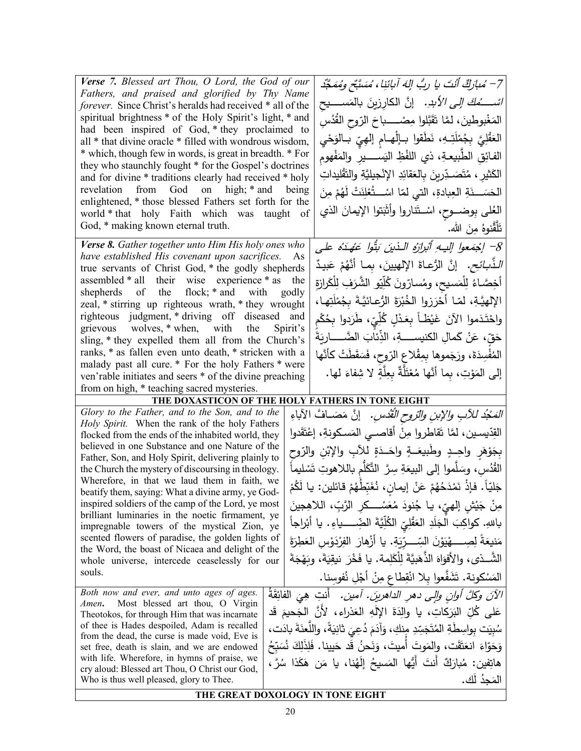| Verse 7. Blessed art Thou, O Lord, the God of our                                                                 |       |                                                                                     |
|-------------------------------------------------------------------------------------------------------------------|-------|-------------------------------------------------------------------------------------|
| Fathers, and praised and glorified by Thy Name                                                                    |       | 7– مُبارَكٌ أَنْتَ يا ربُّ إِلهَ آبائنِا، مُسَبَّحٍ ومُمَجَّد                       |
| forever. Since Christ's heralds had received * all of the                                                         |       | <i>اشــــــُمكَ إلـى الأبدِ.</i> إنَّ الكارِزينَ بالمَســــيح                       |
| spiritual brightness * of the Holy Spirit's light, * and                                                          |       | المَغْبوطينَ، لمَّا تَقَبَّلوا مِصْـــــباحَ الرّوحِ الْقُدُسِ                      |
| had been inspired of God, * they proclaimed to<br>all * that divine oracle * filled with wondrous wisdom,         |       | العَقْلِيَّ بِجُمْلَتِـهِ، نَطَقوا بــإلْهــام إلمِهِيِّ بــالوَحْي                 |
| * which, though few in words, is great in breadth. * For                                                          |       | الفائِقِ الطَّبيعـةِ، ذي اللَّفْظِ اليَســـــيرِ والمَفْهوم                         |
| they who staunchly fought * for the Gospel's doctrines<br>and for divine * traditions clearly had received * holy |       | الكَثير ، مُتَصَـدِّرينَ بِالعَقائِدِ الإِنْجيليَّةِ والتَّقْليداتِ                 |
| revelation from God on high; * and being                                                                          |       | الْحَسَـــذَةِ الْعِبادةِ، الّتي لمّا اسْـــــثُعْلِنَتْ لَهُمْ مِنَ                |
| enlightened, * those blessed Fathers set forth for the<br>world * that holy Faith which was taught of             |       | العُلى بِوضـــوح، اسْــتَناروا وأثَبَتوا الإيمانَ الذي                              |
| God, * making known eternal truth.                                                                                |       | تَلَقَّنوهُ مِنَ الله.                                                              |
| Verse 8. Gather together unto Him His holy ones who                                                               |       |                                                                                     |
| have established His covenant upon sacrifices.                                                                    | As    | 8- إجْمَعوا إليهِ أَبْرِارُهُ الذينَ بَتُوا عَهْدَهُ على                            |
| true servants of Christ God, * the godly shepherds<br>assembled * all their wise experience * as the              |       | <i>الذَّبائحِ.</i> إنَّ الرُّعـاةَ الإلهيينَ، بمـا أنَّهُمْ عَبيدٌ                  |
| shepherds of the flock; * and with                                                                                | godly | أخِصَّاءُ لِلْمَسيح، ومُسارّونَ كُلِّيّو الشَّرَفِ لِلْكَرازةِ                      |
| zeal, * stirring up righteous wrath, * they wrought                                                               |       | الإلهيَّةِ، لمّـا أَحْرَزوا الخُبْرَةَ الرُّعـائيَّـةَ بِجُمْلَتِهـا،               |
| righteous judgment, * driving off diseased and<br>grievous wolves, * when, with the Spirit's                      |       | واحْتَدَموا الآنَ غَيْظـاً بِعَـٰذْلٍ كُلِّيّ، طَرَدوا بِحُكْم                      |
| sling, * they expelled them all from the Church's                                                                 |       | حَقِّ، عَنْ كَمالِ الكنيســــةِ، الذِّئابَ الضَّــــــارِيَةَ                       |
| ranks, * as fallen even unto death, * stricken with a                                                             |       | المُفْسِدَةَ، ورَجَموها بِمِقْلاعِ الرّوحِ، فَسَقَطَتْ كَأَنَّها                    |
| malady past all cure. * For the holy Fathers * were<br>ven'rable initiates and seers * of the divine preaching    |       | إلى المَوْتِ، بِما أَنَّها مُعْتَلَّةٌ بِعِلَّةٍ لا شِفاءَ لها.                     |
| from on high, * teaching sacred mysteries.                                                                        |       |                                                                                     |
|                                                                                                                   |       | THE DOXASTICON OF THE HOLY FATHERS IN TONE EIGHT                                    |
| Glory to the Father, and to the Son, and to the                                                                   |       | <i>التَّمْجُدُ للأَبِ والإبنِ والتروحِ القُدُّسِ.</i> إنَّ مَصَــافٌ الأَباءِ       |
| Holy Spirit. When the rank of the holy Fathers                                                                    |       | القِدّيسـين، لمَّا تَقاطروا مِنْ أقاصــي المَسـكونةِ، إعْتَقَدوا                    |
| flocked from the ends of the inhabited world, they<br>believed in one Substance and one Nature of the             |       |                                                                                     |
| Father, Son, and Holy Spirit, delivering plainly to                                                               |       | بِجَوْهَرِ واحِــدٍ وطَبيعَـــةٍ واحَــدَةٍ للأَبِ والإِبْنِ والرّوحِ               |
| the Church the mystery of discoursing in theology.                                                                |       | القُدُسِ، وسَلَّموا إلى البيعَةِ سِرَّ النَّكَلَّم باللاهوتِ تَسْليماً              |
| Wherefore, in that we laud them in faith, we<br>beatify them, saying: What a divine army, ye God-                 |       | جَليّاً. فإذْ نَمْدَحُهُمْ عَنْ إيمانِ، نُغَبِّطُهُمْ قائلين: يا لَكُمْ             |
| inspired soldiers of the camp of the Lord, ye most                                                                |       | مِنْ جَيْشٍ إلهيِّ، يـا جُنودَ مُعَسْــــكرِ الرَّبِّ، اللاهِجينَ                   |
| brilliant luminaries in the noetic firmament, ye<br>impregnable towers of the mystical Zion, ye                   |       | باللهِ. كواكِبَ الجَلَدِ العَقْلِيِّ الكُلِّيَّةَ الضِّـــــياءِ . يا أَبْراجاً     |
| scented flowers of paradise, the golden lights of                                                                 |       | مَنيعَةَ لِصِـــــهْيَوْنَ السِّـــرِّيَةِ. يا أَزْهارَ  الفِرْدَوْسِ العَطِرَةَ    |
| the Word, the boast of Nicaea and delight of the<br>whole universe, intercede ceaselessly for our                 |       | الشَّــذي، والأفوَاهَ الذَّهَبِيَّةَ لِلْكَلِمة. يا فَخْرَ نيقِيَةَ، وبَهْجَةَ      |
| souls.                                                                                                            |       | الْمَسْكُونَة. تَشَفَّعُوا بِلا انْقِطَاعِ مِنْ أَجْلِ نُفُوسِنا.                   |
| Both now and ever, and unto ages of ages.                                                                         |       |                                                                                     |
| Most blessed art thou, O Virgin<br>Amen.                                                                          |       | الآنَ وكُلَّ أُولِنِ وإلى دهرِ الداهرينَ. أمين.  أنتِ هِيَ الفائِقَةُ               |
| Theotokos, for through Him that was incarnate<br>of thee is Hades despoiled, Adam is recalled                     |       | عَلَى كُلِّ البَرَكاتِ، يا والِدَةَ الإِلَهِ العَذراءِ، لأَنَّ الْجَحيمَ قَد        |
| from the dead, the curse is made void, Eve is                                                                     |       | سُبِيَت بواسِطَةِ المُتَجَسِّدِ مِنكِ، وَآدَمَ دُعِيَ ثَانِيَةً، واللَّعنَةَ بادَت، |
| set free, death is slain, and we are endowed                                                                      |       | وَحَوّاءَ انعَتَّقَت، والمَوتَ أَميتَ، وَنَحنُ قَد حَيينا. فَلِذَلِكَ نُسَبِّحُ     |
| with life. Wherefore, in hymns of praise, we<br>cry aloud: Blessed art Thou, O Christ our God,                    |       | هاتِفين: مُبارَكٌ أَنتَ أَيُّها المَسيحُ إِلَهُنا، يا مَن هَكَذا سُرَّ،             |
| Who is thus well pleased, glory to Thee.                                                                          |       | المَجِدُ لَك.                                                                       |
|                                                                                                                   |       | THE GREAT DOXOLOGY IN TONE EIGHT                                                    |